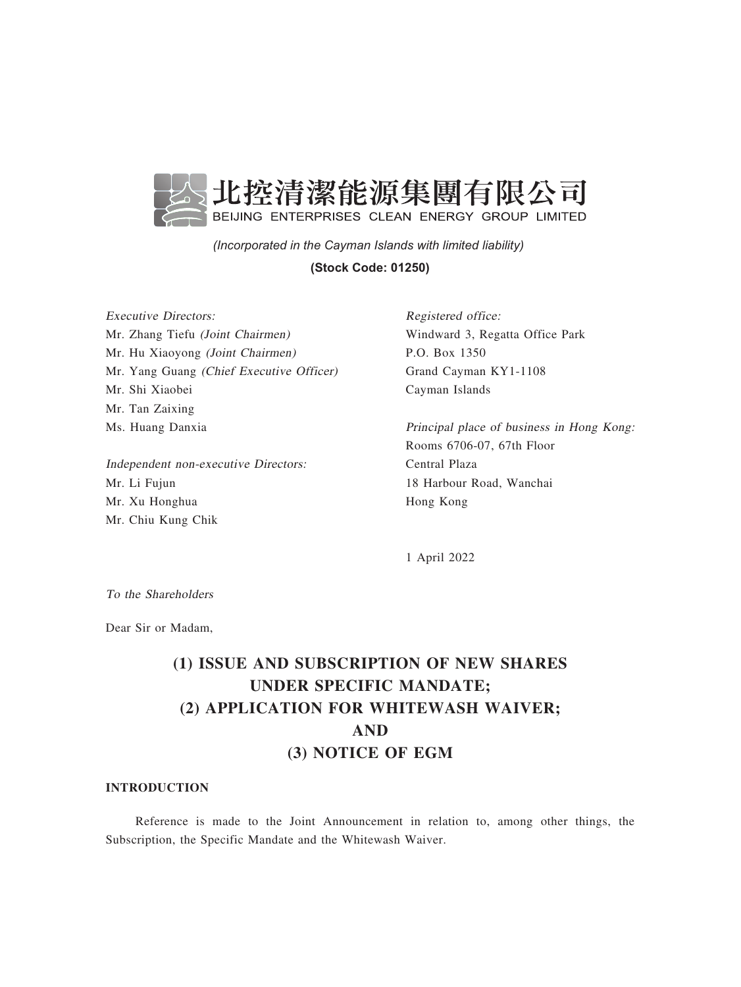

*(Incorporated in the Cayman Islands with limited liability)* 

### **(Stock Code: 01250)**

Executive Directors: Mr. Zhang Tiefu (Joint Chairmen) Mr. Hu Xiaoyong (Joint Chairmen) Mr. Yang Guang (Chief Executive Officer) Mr. Shi Xiaobei Mr. Tan Zaixing Ms. Huang Danxia

Independent non-executive Directors: Mr. Li Fujun Mr. Xu Honghua Mr. Chiu Kung Chik

Registered office: Windward 3, Regatta Office Park P.O. Box 1350 Grand Cayman KY1-1108 Cayman Islands

Principal place of business in Hong Kong: Rooms 6706-07, 67th Floor Central Plaza 18 Harbour Road, Wanchai Hong Kong

1 April 2022

To the Shareholders

Dear Sir or Madam,

# (1) ISSUE AND SUBSCRIPTION OF NEW SHARES UNDER SPECIFIC MANDATE; (2) APPLICATION FOR WHITEWASH WAIVER; AND (3) NOTICE OF EGM

### INTRODUCTION

Reference is made to the Joint Announcement in relation to, among other things, the Subscription, the Specific Mandate and the Whitewash Waiver.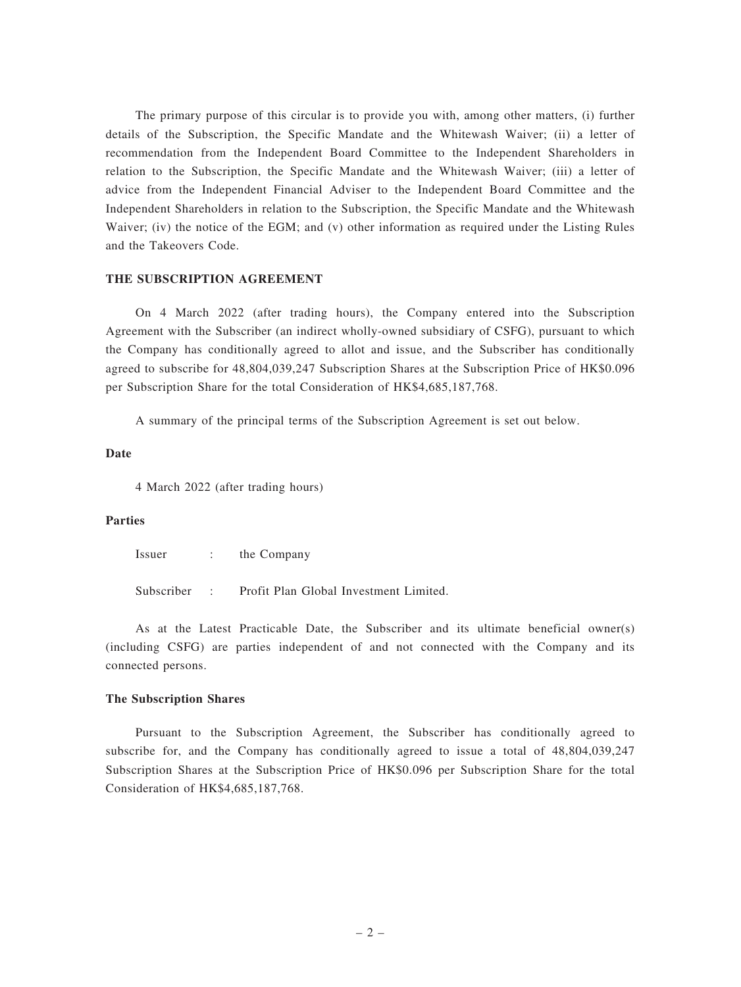The primary purpose of this circular is to provide you with, among other matters, (i) further details of the Subscription, the Specific Mandate and the Whitewash Waiver; (ii) a letter of recommendation from the Independent Board Committee to the Independent Shareholders in relation to the Subscription, the Specific Mandate and the Whitewash Waiver; (iii) a letter of advice from the Independent Financial Adviser to the Independent Board Committee and the Independent Shareholders in relation to the Subscription, the Specific Mandate and the Whitewash Waiver; (iv) the notice of the EGM; and (v) other information as required under the Listing Rules and the Takeovers Code.

### THE SUBSCRIPTION AGREEMENT

On 4 March 2022 (after trading hours), the Company entered into the Subscription Agreement with the Subscriber (an indirect wholly-owned subsidiary of CSFG), pursuant to which the Company has conditionally agreed to allot and issue, and the Subscriber has conditionally agreed to subscribe for 48,804,039,247 Subscription Shares at the Subscription Price of HK\$0.096 per Subscription Share for the total Consideration of HK\$4,685,187,768.

A summary of the principal terms of the Subscription Agreement is set out below.

#### Date

4 March 2022 (after trading hours)

### Parties

Issuer : the Company

Subscriber : Profit Plan Global Investment Limited.

As at the Latest Practicable Date, the Subscriber and its ultimate beneficial owner(s) (including CSFG) are parties independent of and not connected with the Company and its connected persons.

### The Subscription Shares

Pursuant to the Subscription Agreement, the Subscriber has conditionally agreed to subscribe for, and the Company has conditionally agreed to issue a total of 48,804,039,247 Subscription Shares at the Subscription Price of HK\$0.096 per Subscription Share for the total Consideration of HK\$4,685,187,768.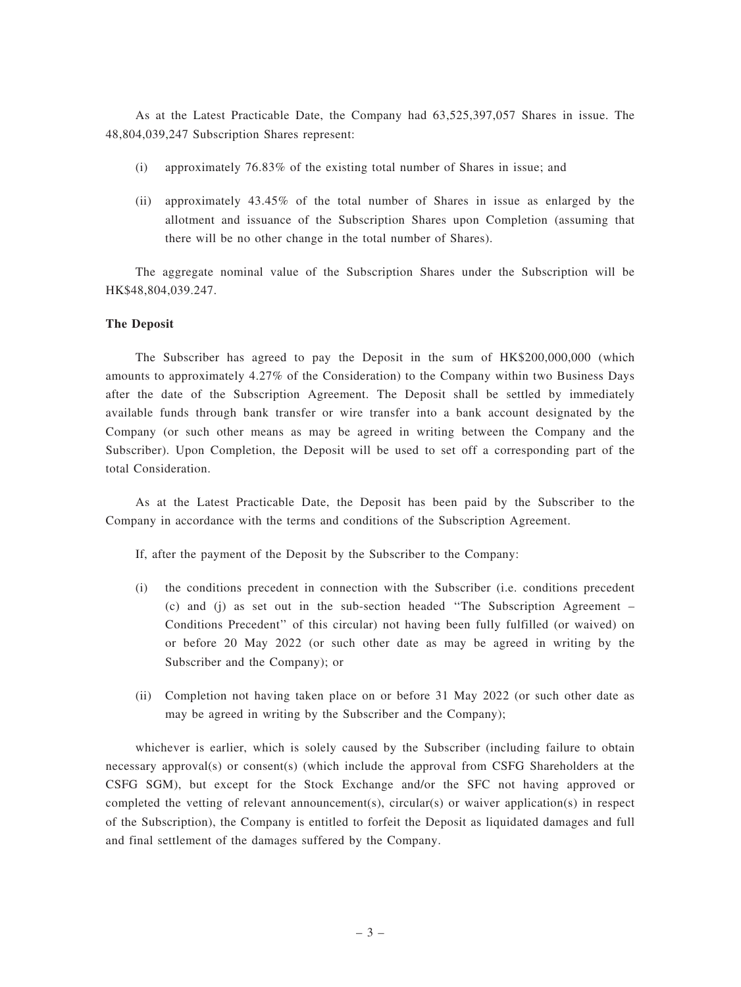As at the Latest Practicable Date, the Company had 63,525,397,057 Shares in issue. The 48,804,039,247 Subscription Shares represent:

- (i) approximately 76.83% of the existing total number of Shares in issue; and
- (ii) approximately 43.45% of the total number of Shares in issue as enlarged by the allotment and issuance of the Subscription Shares upon Completion (assuming that there will be no other change in the total number of Shares).

The aggregate nominal value of the Subscription Shares under the Subscription will be HK\$48,804,039.247.

### The Deposit

The Subscriber has agreed to pay the Deposit in the sum of HK\$200,000,000 (which amounts to approximately 4.27% of the Consideration) to the Company within two Business Days after the date of the Subscription Agreement. The Deposit shall be settled by immediately available funds through bank transfer or wire transfer into a bank account designated by the Company (or such other means as may be agreed in writing between the Company and the Subscriber). Upon Completion, the Deposit will be used to set off a corresponding part of the total Consideration.

As at the Latest Practicable Date, the Deposit has been paid by the Subscriber to the Company in accordance with the terms and conditions of the Subscription Agreement.

If, after the payment of the Deposit by the Subscriber to the Company:

- (i) the conditions precedent in connection with the Subscriber (i.e. conditions precedent (c) and (j) as set out in the sub-section headed ''The Subscription Agreement – Conditions Precedent'' of this circular) not having been fully fulfilled (or waived) on or before 20 May 2022 (or such other date as may be agreed in writing by the Subscriber and the Company); or
- (ii) Completion not having taken place on or before 31 May 2022 (or such other date as may be agreed in writing by the Subscriber and the Company);

whichever is earlier, which is solely caused by the Subscriber (including failure to obtain necessary approval(s) or consent(s) (which include the approval from CSFG Shareholders at the CSFG SGM), but except for the Stock Exchange and/or the SFC not having approved or completed the vetting of relevant announcement(s), circular(s) or waiver application(s) in respect of the Subscription), the Company is entitled to forfeit the Deposit as liquidated damages and full and final settlement of the damages suffered by the Company.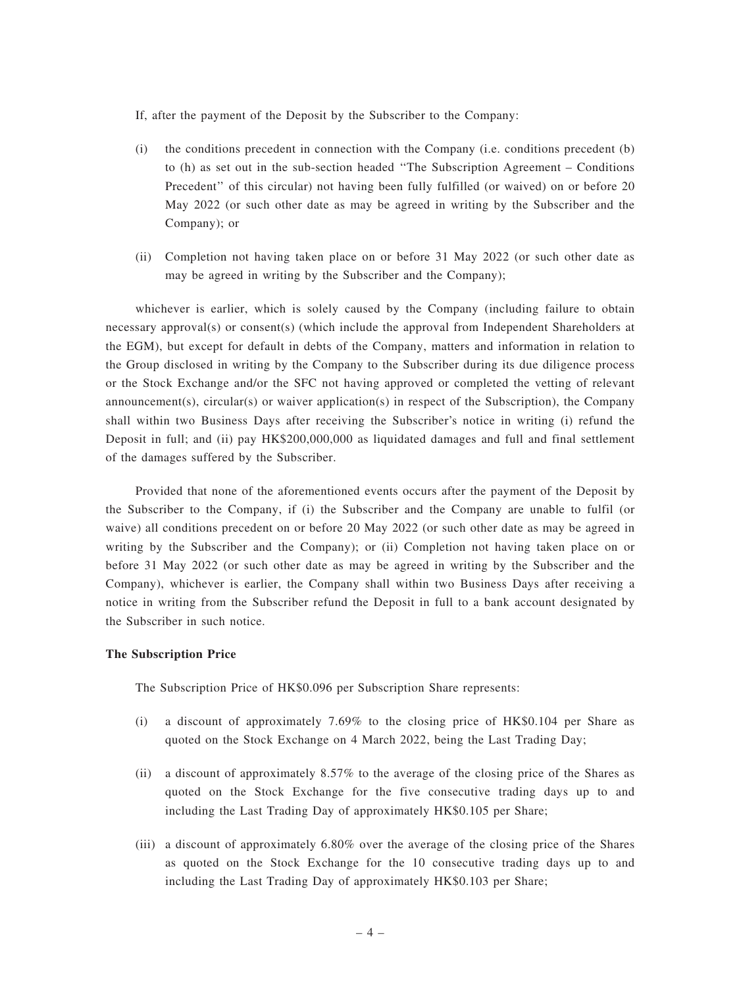If, after the payment of the Deposit by the Subscriber to the Company:

- (i) the conditions precedent in connection with the Company (i.e. conditions precedent (b) to (h) as set out in the sub-section headed ''The Subscription Agreement – Conditions Precedent'' of this circular) not having been fully fulfilled (or waived) on or before 20 May 2022 (or such other date as may be agreed in writing by the Subscriber and the Company); or
- (ii) Completion not having taken place on or before 31 May 2022 (or such other date as may be agreed in writing by the Subscriber and the Company);

whichever is earlier, which is solely caused by the Company (including failure to obtain necessary approval(s) or consent(s) (which include the approval from Independent Shareholders at the EGM), but except for default in debts of the Company, matters and information in relation to the Group disclosed in writing by the Company to the Subscriber during its due diligence process or the Stock Exchange and/or the SFC not having approved or completed the vetting of relevant announcement(s), circular(s) or waiver application(s) in respect of the Subscription), the Company shall within two Business Days after receiving the Subscriber's notice in writing (i) refund the Deposit in full; and (ii) pay HK\$200,000,000 as liquidated damages and full and final settlement of the damages suffered by the Subscriber.

Provided that none of the aforementioned events occurs after the payment of the Deposit by the Subscriber to the Company, if (i) the Subscriber and the Company are unable to fulfil (or waive) all conditions precedent on or before 20 May 2022 (or such other date as may be agreed in writing by the Subscriber and the Company); or (ii) Completion not having taken place on or before 31 May 2022 (or such other date as may be agreed in writing by the Subscriber and the Company), whichever is earlier, the Company shall within two Business Days after receiving a notice in writing from the Subscriber refund the Deposit in full to a bank account designated by the Subscriber in such notice.

### The Subscription Price

The Subscription Price of HK\$0.096 per Subscription Share represents:

- (i) a discount of approximately 7.69% to the closing price of HK\$0.104 per Share as quoted on the Stock Exchange on 4 March 2022, being the Last Trading Day;
- (ii) a discount of approximately 8.57% to the average of the closing price of the Shares as quoted on the Stock Exchange for the five consecutive trading days up to and including the Last Trading Day of approximately HK\$0.105 per Share;
- (iii) a discount of approximately 6.80% over the average of the closing price of the Shares as quoted on the Stock Exchange for the 10 consecutive trading days up to and including the Last Trading Day of approximately HK\$0.103 per Share;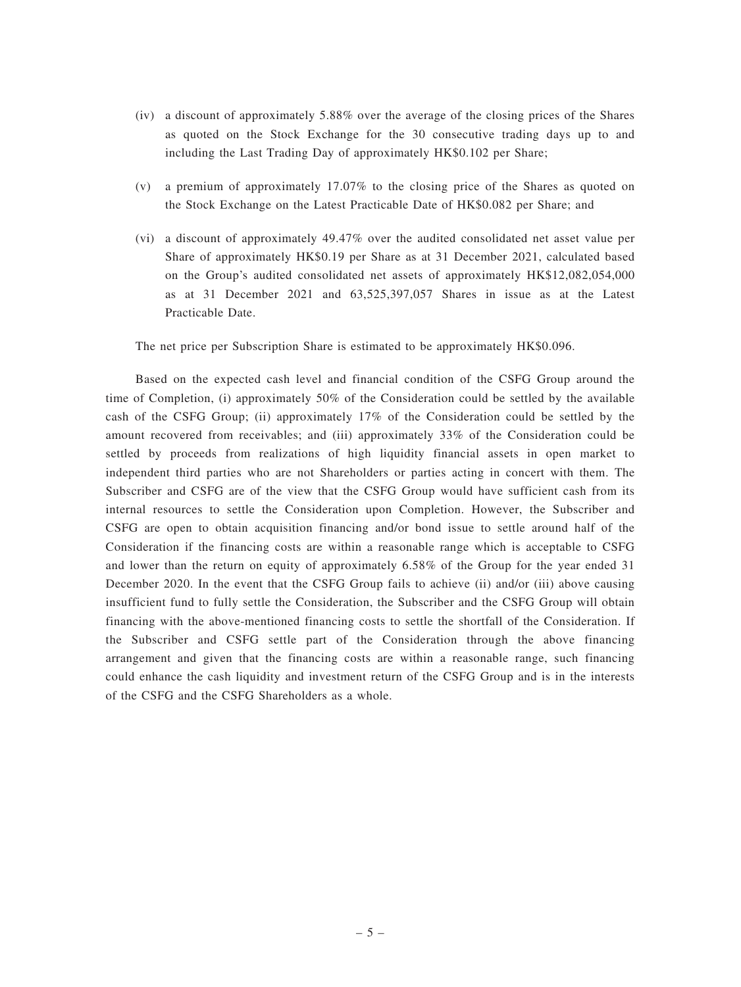- (iv) a discount of approximately 5.88% over the average of the closing prices of the Shares as quoted on the Stock Exchange for the 30 consecutive trading days up to and including the Last Trading Day of approximately HK\$0.102 per Share;
- (v) a premium of approximately 17.07% to the closing price of the Shares as quoted on the Stock Exchange on the Latest Practicable Date of HK\$0.082 per Share; and
- (vi) a discount of approximately 49.47% over the audited consolidated net asset value per Share of approximately HK\$0.19 per Share as at 31 December 2021, calculated based on the Group's audited consolidated net assets of approximately HK\$12,082,054,000 as at 31 December 2021 and 63,525,397,057 Shares in issue as at the Latest Practicable Date.

The net price per Subscription Share is estimated to be approximately HK\$0.096.

Based on the expected cash level and financial condition of the CSFG Group around the time of Completion, (i) approximately 50% of the Consideration could be settled by the available cash of the CSFG Group; (ii) approximately 17% of the Consideration could be settled by the amount recovered from receivables; and (iii) approximately 33% of the Consideration could be settled by proceeds from realizations of high liquidity financial assets in open market to independent third parties who are not Shareholders or parties acting in concert with them. The Subscriber and CSFG are of the view that the CSFG Group would have sufficient cash from its internal resources to settle the Consideration upon Completion. However, the Subscriber and CSFG are open to obtain acquisition financing and/or bond issue to settle around half of the Consideration if the financing costs are within a reasonable range which is acceptable to CSFG and lower than the return on equity of approximately 6.58% of the Group for the year ended 31 December 2020. In the event that the CSFG Group fails to achieve (ii) and/or (iii) above causing insufficient fund to fully settle the Consideration, the Subscriber and the CSFG Group will obtain financing with the above-mentioned financing costs to settle the shortfall of the Consideration. If the Subscriber and CSFG settle part of the Consideration through the above financing arrangement and given that the financing costs are within a reasonable range, such financing could enhance the cash liquidity and investment return of the CSFG Group and is in the interests of the CSFG and the CSFG Shareholders as a whole.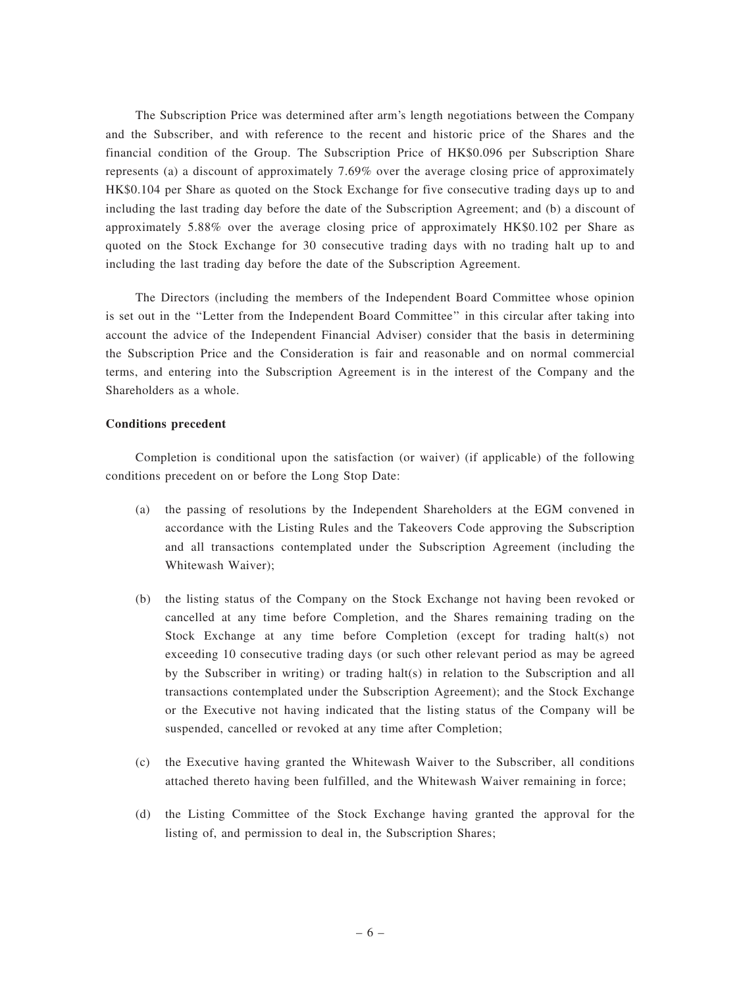The Subscription Price was determined after arm's length negotiations between the Company and the Subscriber, and with reference to the recent and historic price of the Shares and the financial condition of the Group. The Subscription Price of HK\$0.096 per Subscription Share represents (a) a discount of approximately 7.69% over the average closing price of approximately HK\$0.104 per Share as quoted on the Stock Exchange for five consecutive trading days up to and including the last trading day before the date of the Subscription Agreement; and (b) a discount of approximately 5.88% over the average closing price of approximately HK\$0.102 per Share as quoted on the Stock Exchange for 30 consecutive trading days with no trading halt up to and including the last trading day before the date of the Subscription Agreement.

The Directors (including the members of the Independent Board Committee whose opinion is set out in the ''Letter from the Independent Board Committee'' in this circular after taking into account the advice of the Independent Financial Adviser) consider that the basis in determining the Subscription Price and the Consideration is fair and reasonable and on normal commercial terms, and entering into the Subscription Agreement is in the interest of the Company and the Shareholders as a whole.

### Conditions precedent

Completion is conditional upon the satisfaction (or waiver) (if applicable) of the following conditions precedent on or before the Long Stop Date:

- (a) the passing of resolutions by the Independent Shareholders at the EGM convened in accordance with the Listing Rules and the Takeovers Code approving the Subscription and all transactions contemplated under the Subscription Agreement (including the Whitewash Waiver);
- (b) the listing status of the Company on the Stock Exchange not having been revoked or cancelled at any time before Completion, and the Shares remaining trading on the Stock Exchange at any time before Completion (except for trading halt(s) not exceeding 10 consecutive trading days (or such other relevant period as may be agreed by the Subscriber in writing) or trading halt(s) in relation to the Subscription and all transactions contemplated under the Subscription Agreement); and the Stock Exchange or the Executive not having indicated that the listing status of the Company will be suspended, cancelled or revoked at any time after Completion;
- (c) the Executive having granted the Whitewash Waiver to the Subscriber, all conditions attached thereto having been fulfilled, and the Whitewash Waiver remaining in force;
- (d) the Listing Committee of the Stock Exchange having granted the approval for the listing of, and permission to deal in, the Subscription Shares;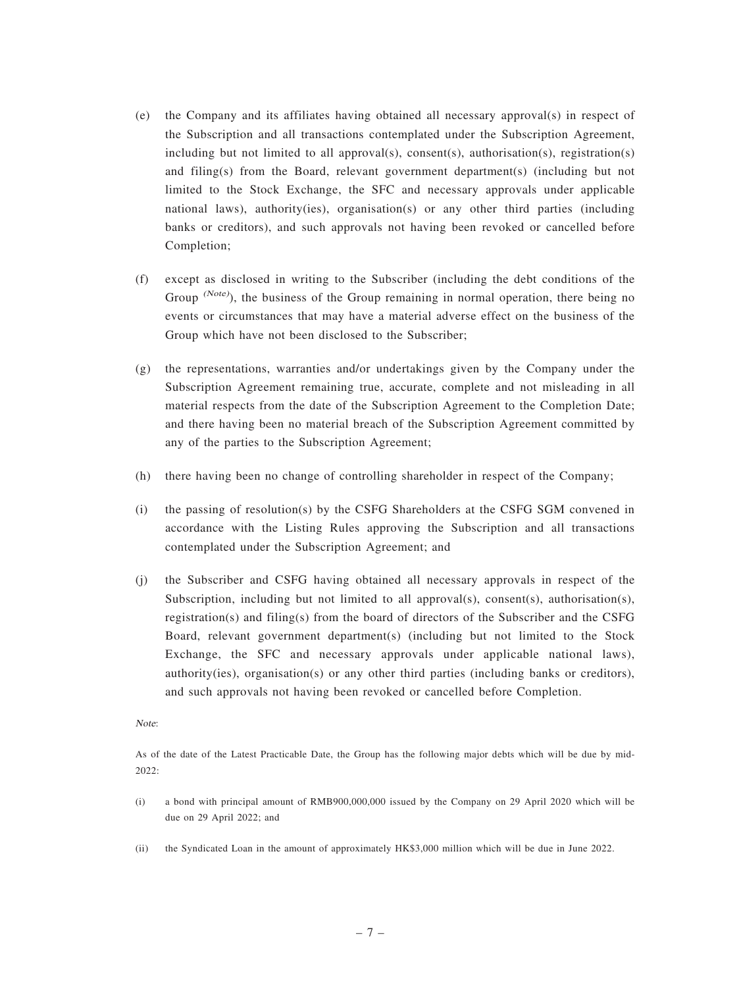- (e) the Company and its affiliates having obtained all necessary approval(s) in respect of the Subscription and all transactions contemplated under the Subscription Agreement, including but not limited to all approval(s), consent(s), authorisation(s), registration(s) and filing(s) from the Board, relevant government department(s) (including but not limited to the Stock Exchange, the SFC and necessary approvals under applicable national laws), authority(ies), organisation(s) or any other third parties (including banks or creditors), and such approvals not having been revoked or cancelled before Completion;
- (f) except as disclosed in writing to the Subscriber (including the debt conditions of the Group (Note), the business of the Group remaining in normal operation, there being no events or circumstances that may have a material adverse effect on the business of the Group which have not been disclosed to the Subscriber;
- (g) the representations, warranties and/or undertakings given by the Company under the Subscription Agreement remaining true, accurate, complete and not misleading in all material respects from the date of the Subscription Agreement to the Completion Date; and there having been no material breach of the Subscription Agreement committed by any of the parties to the Subscription Agreement;
- (h) there having been no change of controlling shareholder in respect of the Company;
- (i) the passing of resolution(s) by the CSFG Shareholders at the CSFG SGM convened in accordance with the Listing Rules approving the Subscription and all transactions contemplated under the Subscription Agreement; and
- (j) the Subscriber and CSFG having obtained all necessary approvals in respect of the Subscription, including but not limited to all approval(s), consent(s), authorisation(s), registration(s) and filing(s) from the board of directors of the Subscriber and the CSFG Board, relevant government department(s) (including but not limited to the Stock Exchange, the SFC and necessary approvals under applicable national laws), authority(ies), organisation(s) or any other third parties (including banks or creditors), and such approvals not having been revoked or cancelled before Completion.

#### Note:

As of the date of the Latest Practicable Date, the Group has the following major debts which will be due by mid-2022:

- (i) a bond with principal amount of RMB900,000,000 issued by the Company on 29 April 2020 which will be due on 29 April 2022; and
- (ii) the Syndicated Loan in the amount of approximately HK\$3,000 million which will be due in June 2022.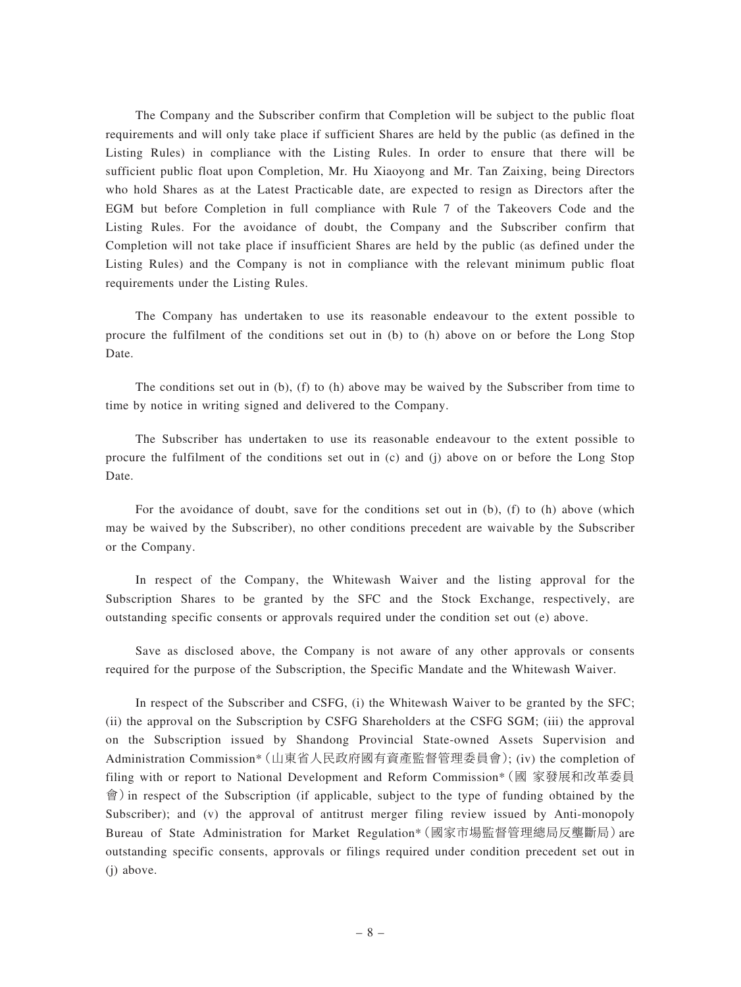The Company and the Subscriber confirm that Completion will be subject to the public float requirements and will only take place if sufficient Shares are held by the public (as defined in the Listing Rules) in compliance with the Listing Rules. In order to ensure that there will be sufficient public float upon Completion, Mr. Hu Xiaoyong and Mr. Tan Zaixing, being Directors who hold Shares as at the Latest Practicable date, are expected to resign as Directors after the EGM but before Completion in full compliance with Rule 7 of the Takeovers Code and the Listing Rules. For the avoidance of doubt, the Company and the Subscriber confirm that Completion will not take place if insufficient Shares are held by the public (as defined under the Listing Rules) and the Company is not in compliance with the relevant minimum public float requirements under the Listing Rules.

The Company has undertaken to use its reasonable endeavour to the extent possible to procure the fulfilment of the conditions set out in (b) to (h) above on or before the Long Stop Date.

The conditions set out in (b), (f) to (h) above may be waived by the Subscriber from time to time by notice in writing signed and delivered to the Company.

The Subscriber has undertaken to use its reasonable endeavour to the extent possible to procure the fulfilment of the conditions set out in (c) and (j) above on or before the Long Stop Date.

For the avoidance of doubt, save for the conditions set out in (b), (f) to (h) above (which may be waived by the Subscriber), no other conditions precedent are waivable by the Subscriber or the Company.

In respect of the Company, the Whitewash Waiver and the listing approval for the Subscription Shares to be granted by the SFC and the Stock Exchange, respectively, are outstanding specific consents or approvals required under the condition set out (e) above.

Save as disclosed above, the Company is not aware of any other approvals or consents required for the purpose of the Subscription, the Specific Mandate and the Whitewash Waiver.

In respect of the Subscriber and CSFG, (i) the Whitewash Waiver to be granted by the SFC; (ii) the approval on the Subscription by CSFG Shareholders at the CSFG SGM; (iii) the approval on the Subscription issued by Shandong Provincial State-owned Assets Supervision and Administration Commission\*(山東省人民政府國有資產監督管理委員會); (iv) the completion of filing with or report to National Development and Reform Commission\*(國 家發展和改革委員 會)in respect of the Subscription (if applicable, subject to the type of funding obtained by the Subscriber); and (v) the approval of antitrust merger filing review issued by Anti-monopoly Bureau of State Administration for Market Regulation\*(國家市場監督管理總局反壟斷局)are outstanding specific consents, approvals or filings required under condition precedent set out in (j) above.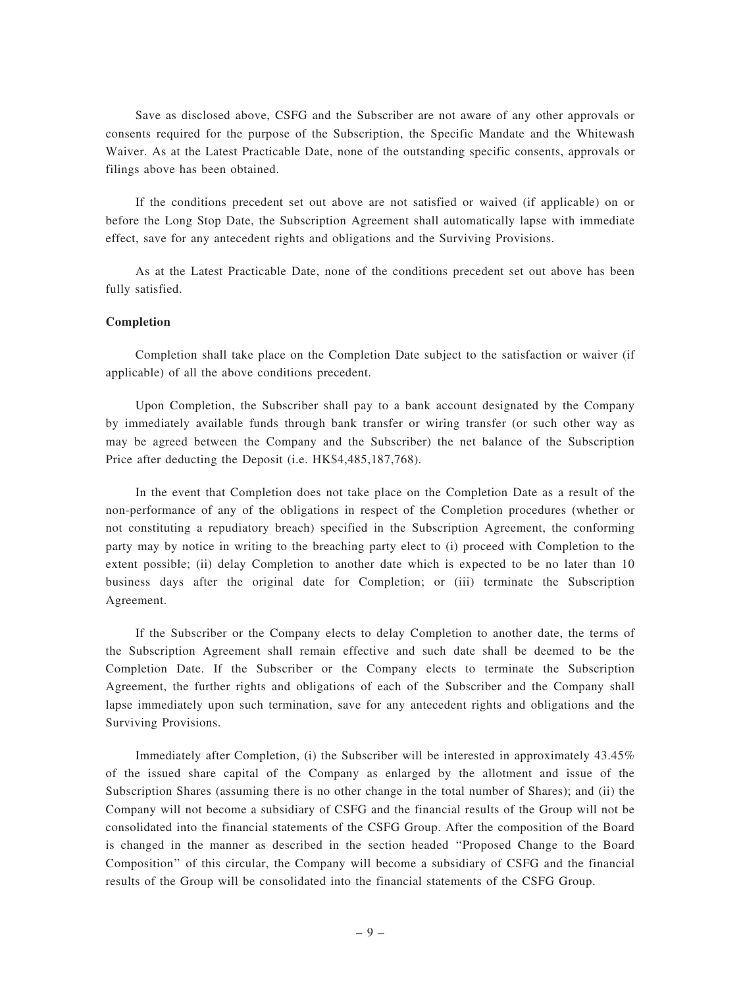Save as disclosed above, CSFG and the Subscriber are not aware of any other approvals or consents required for the purpose of the Subscription, the Specific Mandate and the Whitewash Waiver. As at the Latest Practicable Date, none of the outstanding specific consents, approvals or filings above has been obtained.

If the conditions precedent set out above are not satisfied or waived (if applicable) on or before the Long Stop Date, the Subscription Agreement shall automatically lapse with immediate effect, save for any antecedent rights and obligations and the Surviving Provisions.

As at the Latest Practicable Date, none of the conditions precedent set out above has been fully satisfied.

### Completion

Completion shall take place on the Completion Date subject to the satisfaction or waiver (if applicable) of all the above conditions precedent.

Upon Completion, the Subscriber shall pay to a bank account designated by the Company by immediately available funds through bank transfer or wiring transfer (or such other way as may be agreed between the Company and the Subscriber) the net balance of the Subscription Price after deducting the Deposit (i.e. HK\$4,485,187,768).

In the event that Completion does not take place on the Completion Date as a result of the non-performance of any of the obligations in respect of the Completion procedures (whether or not constituting a repudiatory breach) specified in the Subscription Agreement, the conforming party may by notice in writing to the breaching party elect to (i) proceed with Completion to the extent possible; (ii) delay Completion to another date which is expected to be no later than 10 business days after the original date for Completion; or (iii) terminate the Subscription Agreement.

If the Subscriber or the Company elects to delay Completion to another date, the terms of the Subscription Agreement shall remain effective and such date shall be deemed to be the Completion Date. If the Subscriber or the Company elects to terminate the Subscription Agreement, the further rights and obligations of each of the Subscriber and the Company shall lapse immediately upon such termination, save for any antecedent rights and obligations and the Surviving Provisions.

Immediately after Completion, (i) the Subscriber will be interested in approximately 43.45% of the issued share capital of the Company as enlarged by the allotment and issue of the Subscription Shares (assuming there is no other change in the total number of Shares); and (ii) the Company will not become a subsidiary of CSFG and the financial results of the Group will not be consolidated into the financial statements of the CSFG Group. After the composition of the Board is changed in the manner as described in the section headed ''Proposed Change to the Board Composition'' of this circular, the Company will become a subsidiary of CSFG and the financial results of the Group will be consolidated into the financial statements of the CSFG Group.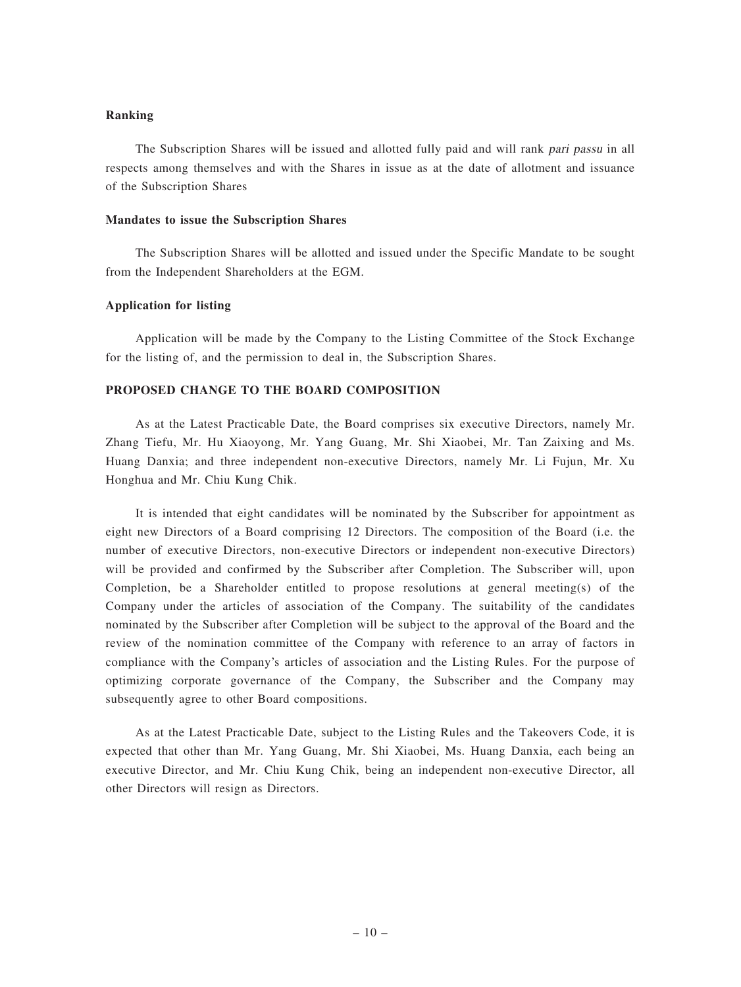### Ranking

The Subscription Shares will be issued and allotted fully paid and will rank pari passu in all respects among themselves and with the Shares in issue as at the date of allotment and issuance of the Subscription Shares

#### Mandates to issue the Subscription Shares

The Subscription Shares will be allotted and issued under the Specific Mandate to be sought from the Independent Shareholders at the EGM.

### Application for listing

Application will be made by the Company to the Listing Committee of the Stock Exchange for the listing of, and the permission to deal in, the Subscription Shares.

### PROPOSED CHANGE TO THE BOARD COMPOSITION

As at the Latest Practicable Date, the Board comprises six executive Directors, namely Mr. Zhang Tiefu, Mr. Hu Xiaoyong, Mr. Yang Guang, Mr. Shi Xiaobei, Mr. Tan Zaixing and Ms. Huang Danxia; and three independent non-executive Directors, namely Mr. Li Fujun, Mr. Xu Honghua and Mr. Chiu Kung Chik.

It is intended that eight candidates will be nominated by the Subscriber for appointment as eight new Directors of a Board comprising 12 Directors. The composition of the Board (i.e. the number of executive Directors, non-executive Directors or independent non-executive Directors) will be provided and confirmed by the Subscriber after Completion. The Subscriber will, upon Completion, be a Shareholder entitled to propose resolutions at general meeting(s) of the Company under the articles of association of the Company. The suitability of the candidates nominated by the Subscriber after Completion will be subject to the approval of the Board and the review of the nomination committee of the Company with reference to an array of factors in compliance with the Company's articles of association and the Listing Rules. For the purpose of optimizing corporate governance of the Company, the Subscriber and the Company may subsequently agree to other Board compositions.

As at the Latest Practicable Date, subject to the Listing Rules and the Takeovers Code, it is expected that other than Mr. Yang Guang, Mr. Shi Xiaobei, Ms. Huang Danxia, each being an executive Director, and Mr. Chiu Kung Chik, being an independent non-executive Director, all other Directors will resign as Directors.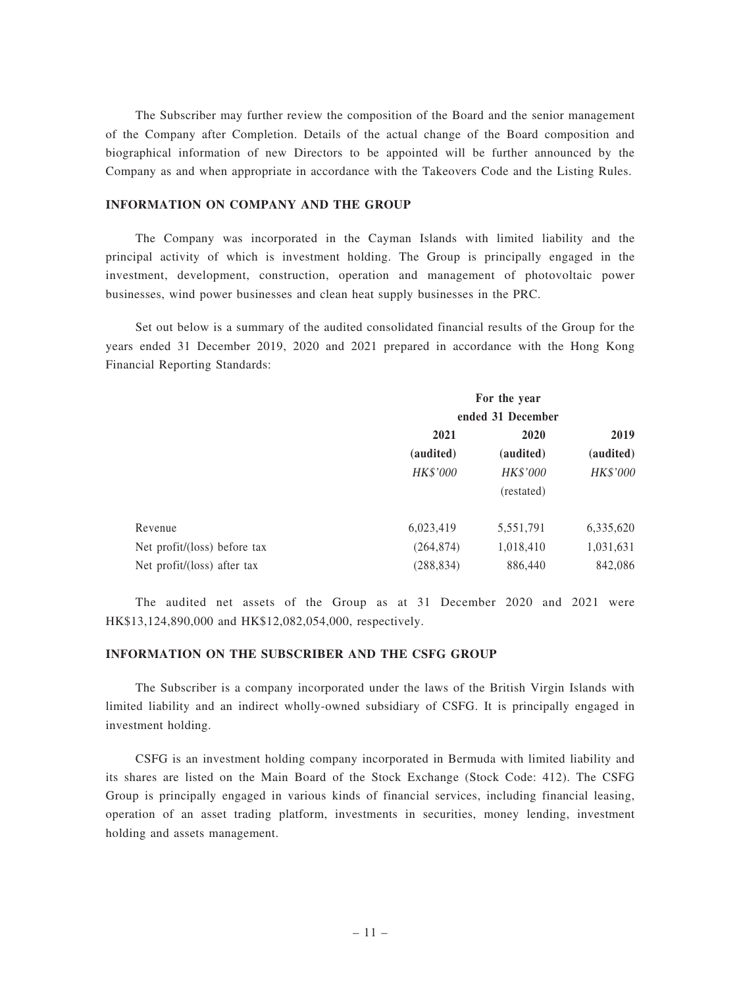The Subscriber may further review the composition of the Board and the senior management of the Company after Completion. Details of the actual change of the Board composition and biographical information of new Directors to be appointed will be further announced by the Company as and when appropriate in accordance with the Takeovers Code and the Listing Rules.

### INFORMATION ON COMPANY AND THE GROUP

The Company was incorporated in the Cayman Islands with limited liability and the principal activity of which is investment holding. The Group is principally engaged in the investment, development, construction, operation and management of photovoltaic power businesses, wind power businesses and clean heat supply businesses in the PRC.

Set out below is a summary of the audited consolidated financial results of the Group for the years ended 31 December 2019, 2020 and 2021 prepared in accordance with the Hong Kong Financial Reporting Standards:

| For the year<br>ended 31 December |                 |           |
|-----------------------------------|-----------------|-----------|
|                                   |                 |           |
| 2021                              | 2020            | 2019      |
| (audited)                         | (audited)       | (audited) |
| HK\$'000                          | <b>HK\$'000</b> | HK\$'000  |
|                                   | (restated)      |           |
| 6,023,419                         | 5,551,791       | 6,335,620 |
| (264, 874)                        | 1,018,410       | 1,031,631 |
| (288, 834)                        | 886,440         | 842,086   |
|                                   |                 |           |

The audited net assets of the Group as at 31 December 2020 and 2021 were HK\$13,124,890,000 and HK\$12,082,054,000, respectively.

### INFORMATION ON THE SUBSCRIBER AND THE CSFG GROUP

The Subscriber is a company incorporated under the laws of the British Virgin Islands with limited liability and an indirect wholly-owned subsidiary of CSFG. It is principally engaged in investment holding.

CSFG is an investment holding company incorporated in Bermuda with limited liability and its shares are listed on the Main Board of the Stock Exchange (Stock Code: 412). The CSFG Group is principally engaged in various kinds of financial services, including financial leasing, operation of an asset trading platform, investments in securities, money lending, investment holding and assets management.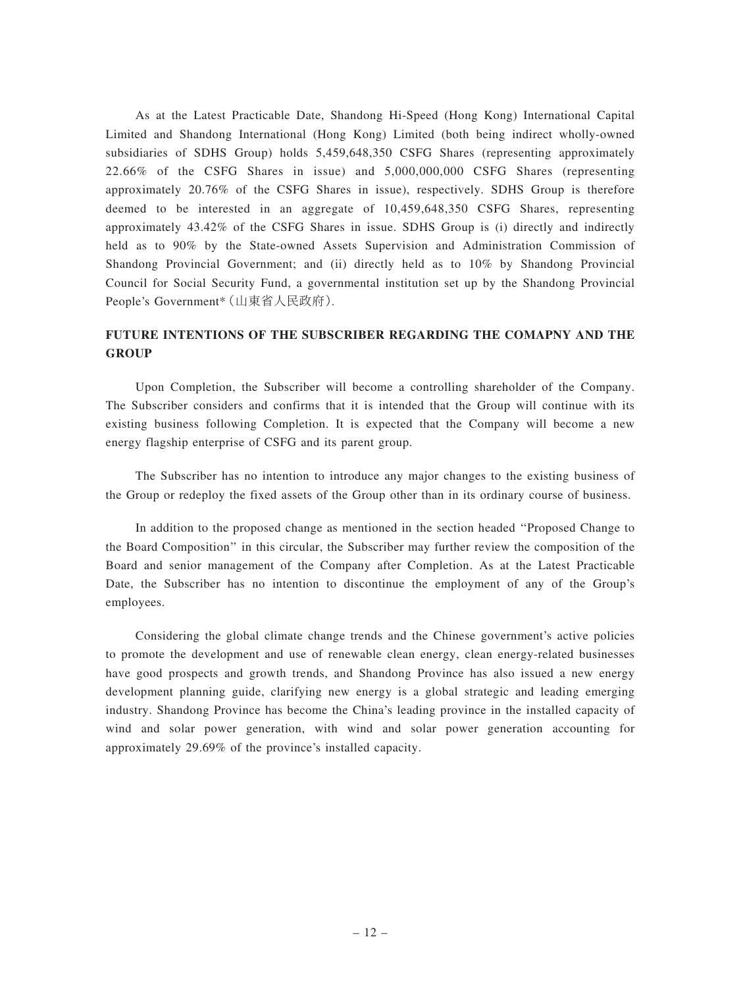As at the Latest Practicable Date, Shandong Hi-Speed (Hong Kong) International Capital Limited and Shandong International (Hong Kong) Limited (both being indirect wholly-owned subsidiaries of SDHS Group) holds 5,459,648,350 CSFG Shares (representing approximately 22.66% of the CSFG Shares in issue) and 5,000,000,000 CSFG Shares (representing approximately 20.76% of the CSFG Shares in issue), respectively. SDHS Group is therefore deemed to be interested in an aggregate of 10,459,648,350 CSFG Shares, representing approximately 43.42% of the CSFG Shares in issue. SDHS Group is (i) directly and indirectly held as to 90% by the State-owned Assets Supervision and Administration Commission of Shandong Provincial Government; and (ii) directly held as to 10% by Shandong Provincial Council for Social Security Fund, a governmental institution set up by the Shandong Provincial People's Government\*(山東省人民政府).

# FUTURE INTENTIONS OF THE SUBSCRIBER REGARDING THE COMAPNY AND THE **GROUP**

Upon Completion, the Subscriber will become a controlling shareholder of the Company. The Subscriber considers and confirms that it is intended that the Group will continue with its existing business following Completion. It is expected that the Company will become a new energy flagship enterprise of CSFG and its parent group.

The Subscriber has no intention to introduce any major changes to the existing business of the Group or redeploy the fixed assets of the Group other than in its ordinary course of business.

In addition to the proposed change as mentioned in the section headed ''Proposed Change to the Board Composition'' in this circular, the Subscriber may further review the composition of the Board and senior management of the Company after Completion. As at the Latest Practicable Date, the Subscriber has no intention to discontinue the employment of any of the Group's employees.

Considering the global climate change trends and the Chinese government's active policies to promote the development and use of renewable clean energy, clean energy-related businesses have good prospects and growth trends, and Shandong Province has also issued a new energy development planning guide, clarifying new energy is a global strategic and leading emerging industry. Shandong Province has become the China's leading province in the installed capacity of wind and solar power generation, with wind and solar power generation accounting for approximately 29.69% of the province's installed capacity.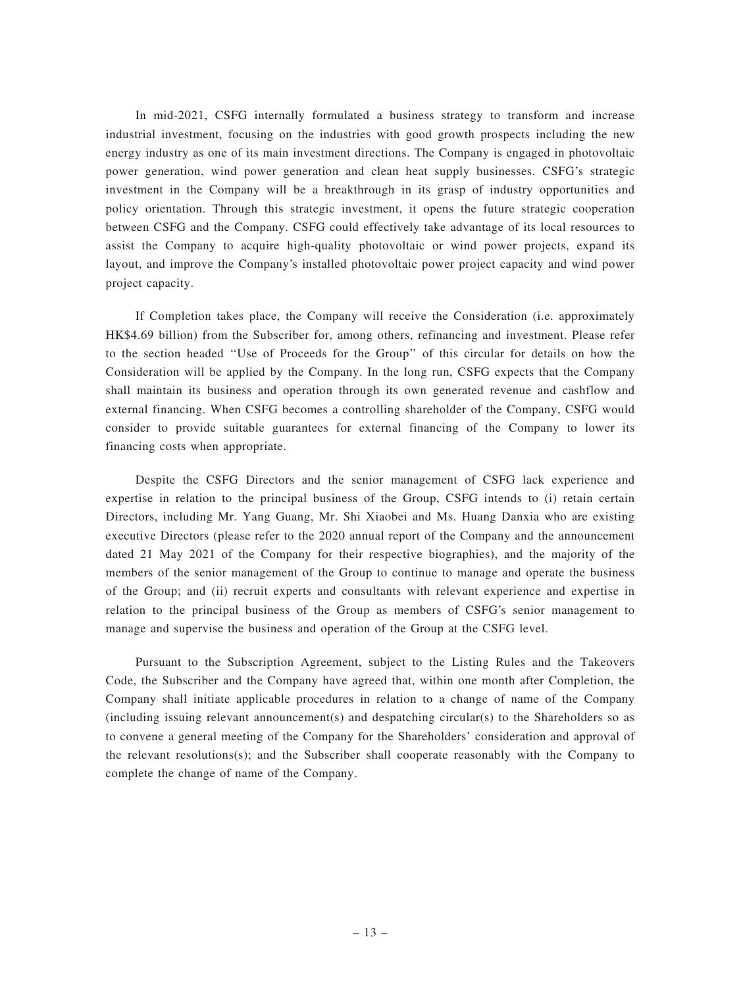In mid-2021, CSFG internally formulated a business strategy to transform and increase industrial investment, focusing on the industries with good growth prospects including the new energy industry as one of its main investment directions. The Company is engaged in photovoltaic power generation, wind power generation and clean heat supply businesses. CSFG's strategic investment in the Company will be a breakthrough in its grasp of industry opportunities and policy orientation. Through this strategic investment, it opens the future strategic cooperation between CSFG and the Company. CSFG could effectively take advantage of its local resources to assist the Company to acquire high-quality photovoltaic or wind power projects, expand its layout, and improve the Company's installed photovoltaic power project capacity and wind power project capacity.

If Completion takes place, the Company will receive the Consideration (i.e. approximately HK\$4.69 billion) from the Subscriber for, among others, refinancing and investment. Please refer to the section headed ''Use of Proceeds for the Group'' of this circular for details on how the Consideration will be applied by the Company. In the long run, CSFG expects that the Company shall maintain its business and operation through its own generated revenue and cashflow and external financing. When CSFG becomes a controlling shareholder of the Company, CSFG would consider to provide suitable guarantees for external financing of the Company to lower its financing costs when appropriate.

Despite the CSFG Directors and the senior management of CSFG lack experience and expertise in relation to the principal business of the Group, CSFG intends to (i) retain certain Directors, including Mr. Yang Guang, Mr. Shi Xiaobei and Ms. Huang Danxia who are existing executive Directors (please refer to the 2020 annual report of the Company and the announcement dated 21 May 2021 of the Company for their respective biographies), and the majority of the members of the senior management of the Group to continue to manage and operate the business of the Group; and (ii) recruit experts and consultants with relevant experience and expertise in relation to the principal business of the Group as members of CSFG's senior management to manage and supervise the business and operation of the Group at the CSFG level.

Pursuant to the Subscription Agreement, subject to the Listing Rules and the Takeovers Code, the Subscriber and the Company have agreed that, within one month after Completion, the Company shall initiate applicable procedures in relation to a change of name of the Company (including issuing relevant announcement(s) and despatching circular(s) to the Shareholders so as to convene a general meeting of the Company for the Shareholders' consideration and approval of the relevant resolutions(s); and the Subscriber shall cooperate reasonably with the Company to complete the change of name of the Company.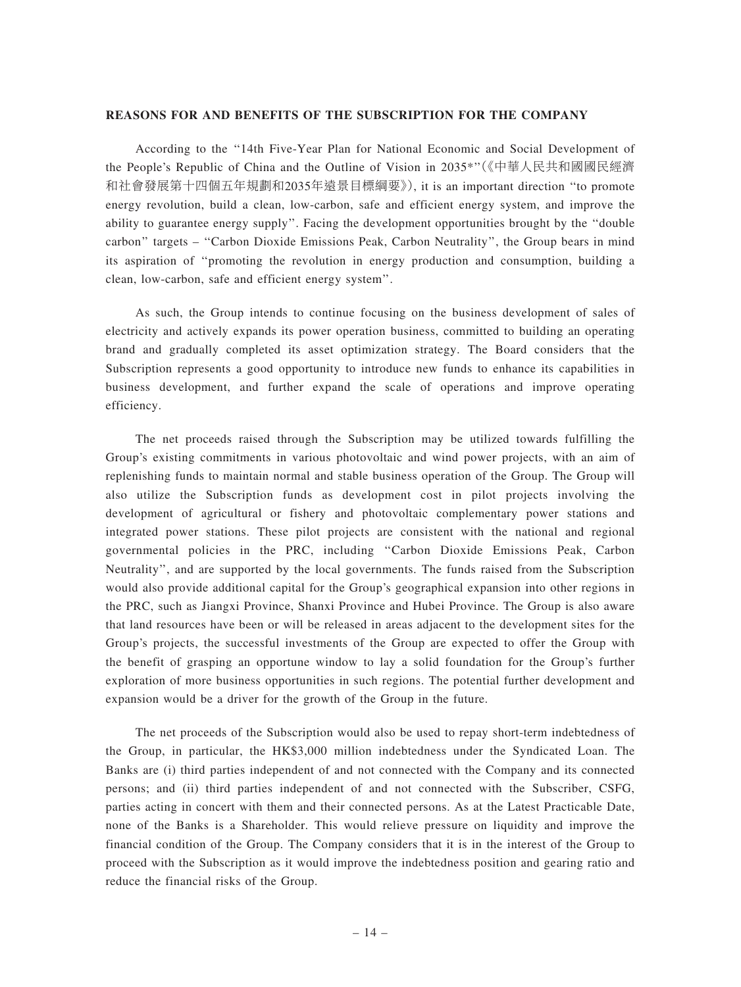#### REASONS FOR AND BENEFITS OF THE SUBSCRIPTION FOR THE COMPANY

According to the ''14th Five-Year Plan for National Economic and Social Development of the People's Republic of China and the Outline of Vision in 2035\*''(《中華人民共和國國民經濟 和社會發展第十四個五年規劃和2035年遠景目標綱要》), it is an important direction ''to promote energy revolution, build a clean, low-carbon, safe and efficient energy system, and improve the ability to guarantee energy supply''. Facing the development opportunities brought by the ''double carbon'' targets – ''Carbon Dioxide Emissions Peak, Carbon Neutrality'', the Group bears in mind its aspiration of ''promoting the revolution in energy production and consumption, building a clean, low-carbon, safe and efficient energy system''.

As such, the Group intends to continue focusing on the business development of sales of electricity and actively expands its power operation business, committed to building an operating brand and gradually completed its asset optimization strategy. The Board considers that the Subscription represents a good opportunity to introduce new funds to enhance its capabilities in business development, and further expand the scale of operations and improve operating efficiency.

The net proceeds raised through the Subscription may be utilized towards fulfilling the Group's existing commitments in various photovoltaic and wind power projects, with an aim of replenishing funds to maintain normal and stable business operation of the Group. The Group will also utilize the Subscription funds as development cost in pilot projects involving the development of agricultural or fishery and photovoltaic complementary power stations and integrated power stations. These pilot projects are consistent with the national and regional governmental policies in the PRC, including ''Carbon Dioxide Emissions Peak, Carbon Neutrality'', and are supported by the local governments. The funds raised from the Subscription would also provide additional capital for the Group's geographical expansion into other regions in the PRC, such as Jiangxi Province, Shanxi Province and Hubei Province. The Group is also aware that land resources have been or will be released in areas adjacent to the development sites for the Group's projects, the successful investments of the Group are expected to offer the Group with the benefit of grasping an opportune window to lay a solid foundation for the Group's further exploration of more business opportunities in such regions. The potential further development and expansion would be a driver for the growth of the Group in the future.

The net proceeds of the Subscription would also be used to repay short-term indebtedness of the Group, in particular, the HK\$3,000 million indebtedness under the Syndicated Loan. The Banks are (i) third parties independent of and not connected with the Company and its connected persons; and (ii) third parties independent of and not connected with the Subscriber, CSFG, parties acting in concert with them and their connected persons. As at the Latest Practicable Date, none of the Banks is a Shareholder. This would relieve pressure on liquidity and improve the financial condition of the Group. The Company considers that it is in the interest of the Group to proceed with the Subscription as it would improve the indebtedness position and gearing ratio and reduce the financial risks of the Group.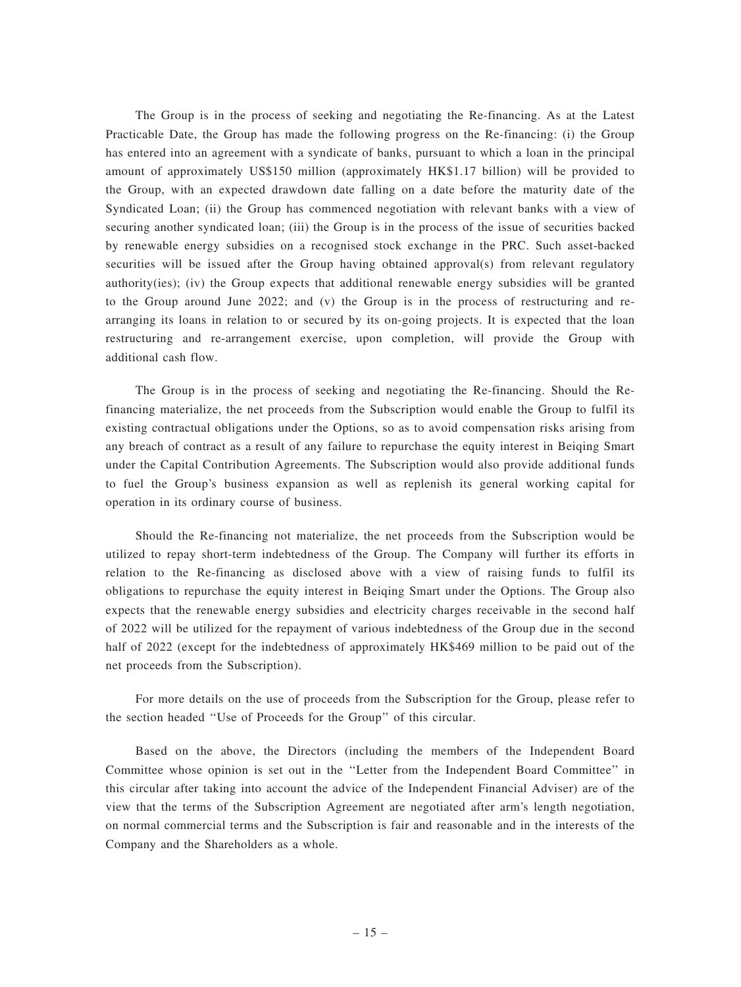The Group is in the process of seeking and negotiating the Re-financing. As at the Latest Practicable Date, the Group has made the following progress on the Re-financing: (i) the Group has entered into an agreement with a syndicate of banks, pursuant to which a loan in the principal amount of approximately US\$150 million (approximately HK\$1.17 billion) will be provided to the Group, with an expected drawdown date falling on a date before the maturity date of the Syndicated Loan; (ii) the Group has commenced negotiation with relevant banks with a view of securing another syndicated loan; (iii) the Group is in the process of the issue of securities backed by renewable energy subsidies on a recognised stock exchange in the PRC. Such asset-backed securities will be issued after the Group having obtained approval(s) from relevant regulatory authority(ies); (iv) the Group expects that additional renewable energy subsidies will be granted to the Group around June 2022; and (v) the Group is in the process of restructuring and rearranging its loans in relation to or secured by its on-going projects. It is expected that the loan restructuring and re-arrangement exercise, upon completion, will provide the Group with additional cash flow.

The Group is in the process of seeking and negotiating the Re-financing. Should the Refinancing materialize, the net proceeds from the Subscription would enable the Group to fulfil its existing contractual obligations under the Options, so as to avoid compensation risks arising from any breach of contract as a result of any failure to repurchase the equity interest in Beiqing Smart under the Capital Contribution Agreements. The Subscription would also provide additional funds to fuel the Group's business expansion as well as replenish its general working capital for operation in its ordinary course of business.

Should the Re-financing not materialize, the net proceeds from the Subscription would be utilized to repay short-term indebtedness of the Group. The Company will further its efforts in relation to the Re-financing as disclosed above with a view of raising funds to fulfil its obligations to repurchase the equity interest in Beiqing Smart under the Options. The Group also expects that the renewable energy subsidies and electricity charges receivable in the second half of 2022 will be utilized for the repayment of various indebtedness of the Group due in the second half of 2022 (except for the indebtedness of approximately HK\$469 million to be paid out of the net proceeds from the Subscription).

For more details on the use of proceeds from the Subscription for the Group, please refer to the section headed ''Use of Proceeds for the Group'' of this circular.

Based on the above, the Directors (including the members of the Independent Board Committee whose opinion is set out in the ''Letter from the Independent Board Committee'' in this circular after taking into account the advice of the Independent Financial Adviser) are of the view that the terms of the Subscription Agreement are negotiated after arm's length negotiation, on normal commercial terms and the Subscription is fair and reasonable and in the interests of the Company and the Shareholders as a whole.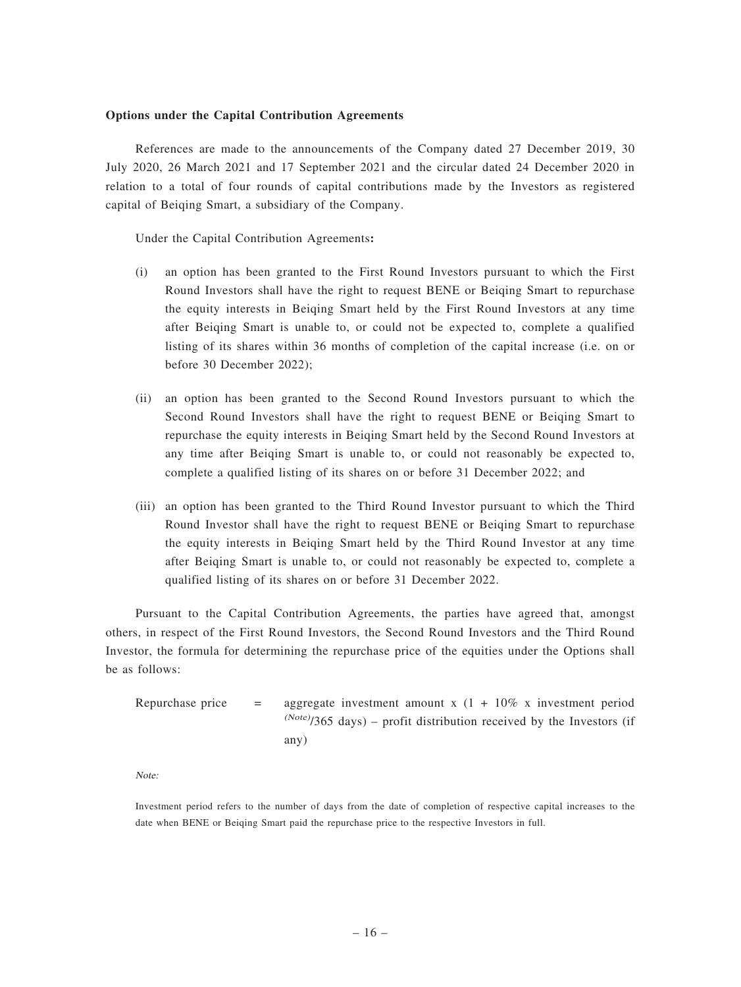### Options under the Capital Contribution Agreements

References are made to the announcements of the Company dated 27 December 2019, 30 July 2020, 26 March 2021 and 17 September 2021 and the circular dated 24 December 2020 in relation to a total of four rounds of capital contributions made by the Investors as registered capital of Beiqing Smart, a subsidiary of the Company.

Under the Capital Contribution Agreements:

- (i) an option has been granted to the First Round Investors pursuant to which the First Round Investors shall have the right to request BENE or Beiqing Smart to repurchase the equity interests in Beiqing Smart held by the First Round Investors at any time after Beiqing Smart is unable to, or could not be expected to, complete a qualified listing of its shares within 36 months of completion of the capital increase (i.e. on or before 30 December 2022);
- (ii) an option has been granted to the Second Round Investors pursuant to which the Second Round Investors shall have the right to request BENE or Beiqing Smart to repurchase the equity interests in Beiqing Smart held by the Second Round Investors at any time after Beiqing Smart is unable to, or could not reasonably be expected to, complete a qualified listing of its shares on or before 31 December 2022; and
- (iii) an option has been granted to the Third Round Investor pursuant to which the Third Round Investor shall have the right to request BENE or Beiqing Smart to repurchase the equity interests in Beiqing Smart held by the Third Round Investor at any time after Beiqing Smart is unable to, or could not reasonably be expected to, complete a qualified listing of its shares on or before 31 December 2022.

Pursuant to the Capital Contribution Agreements, the parties have agreed that, amongst others, in respect of the First Round Investors, the Second Round Investors and the Third Round Investor, the formula for determining the repurchase price of the equities under the Options shall be as follows:

| Repurchase price | $=$ | aggregate investment amount x $(1 + 10\%$ x investment period              |
|------------------|-----|----------------------------------------------------------------------------|
|                  |     | $^{(Note)}$ /365 days) – profit distribution received by the Investors (if |
|                  |     | any)                                                                       |

Note:

Investment period refers to the number of days from the date of completion of respective capital increases to the date when BENE or Beiqing Smart paid the repurchase price to the respective Investors in full.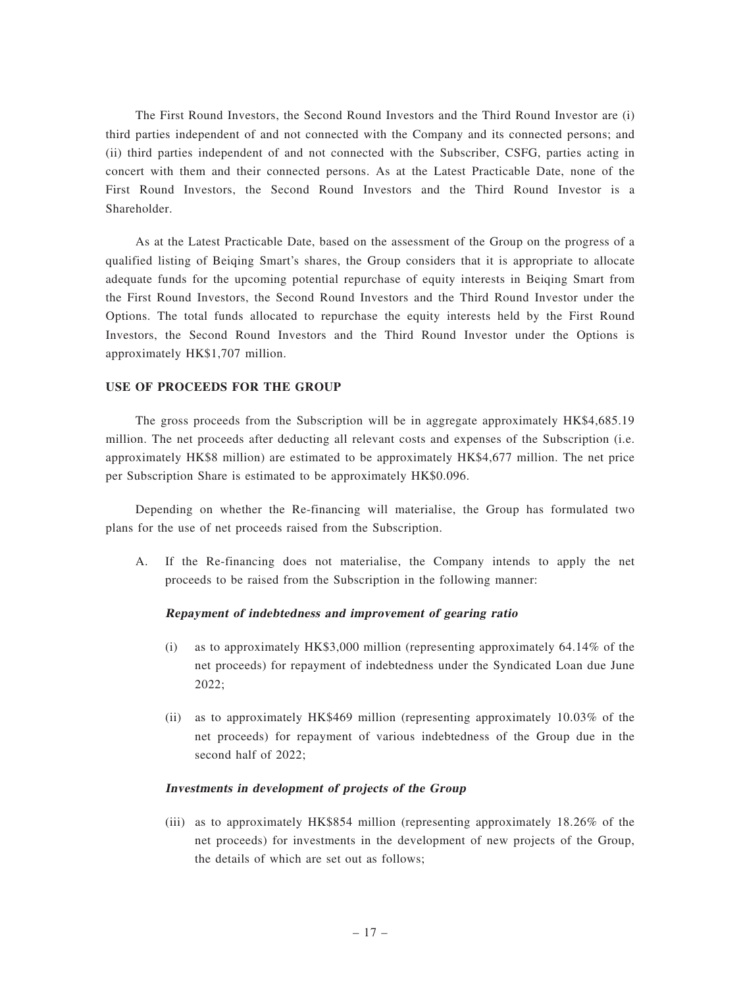The First Round Investors, the Second Round Investors and the Third Round Investor are (i) third parties independent of and not connected with the Company and its connected persons; and (ii) third parties independent of and not connected with the Subscriber, CSFG, parties acting in concert with them and their connected persons. As at the Latest Practicable Date, none of the First Round Investors, the Second Round Investors and the Third Round Investor is a Shareholder.

As at the Latest Practicable Date, based on the assessment of the Group on the progress of a qualified listing of Beiqing Smart's shares, the Group considers that it is appropriate to allocate adequate funds for the upcoming potential repurchase of equity interests in Beiqing Smart from the First Round Investors, the Second Round Investors and the Third Round Investor under the Options. The total funds allocated to repurchase the equity interests held by the First Round Investors, the Second Round Investors and the Third Round Investor under the Options is approximately HK\$1,707 million.

### USE OF PROCEEDS FOR THE GROUP

The gross proceeds from the Subscription will be in aggregate approximately HK\$4,685.19 million. The net proceeds after deducting all relevant costs and expenses of the Subscription (i.e. approximately HK\$8 million) are estimated to be approximately HK\$4,677 million. The net price per Subscription Share is estimated to be approximately HK\$0.096.

Depending on whether the Re-financing will materialise, the Group has formulated two plans for the use of net proceeds raised from the Subscription.

A. If the Re-financing does not materialise, the Company intends to apply the net proceeds to be raised from the Subscription in the following manner:

### Repayment of indebtedness and improvement of gearing ratio

- (i) as to approximately HK\$3,000 million (representing approximately 64.14% of the net proceeds) for repayment of indebtedness under the Syndicated Loan due June 2022;
- (ii) as to approximately HK\$469 million (representing approximately 10.03% of the net proceeds) for repayment of various indebtedness of the Group due in the second half of 2022;

### Investments in development of projects of the Group

(iii) as to approximately HK\$854 million (representing approximately 18.26% of the net proceeds) for investments in the development of new projects of the Group, the details of which are set out as follows;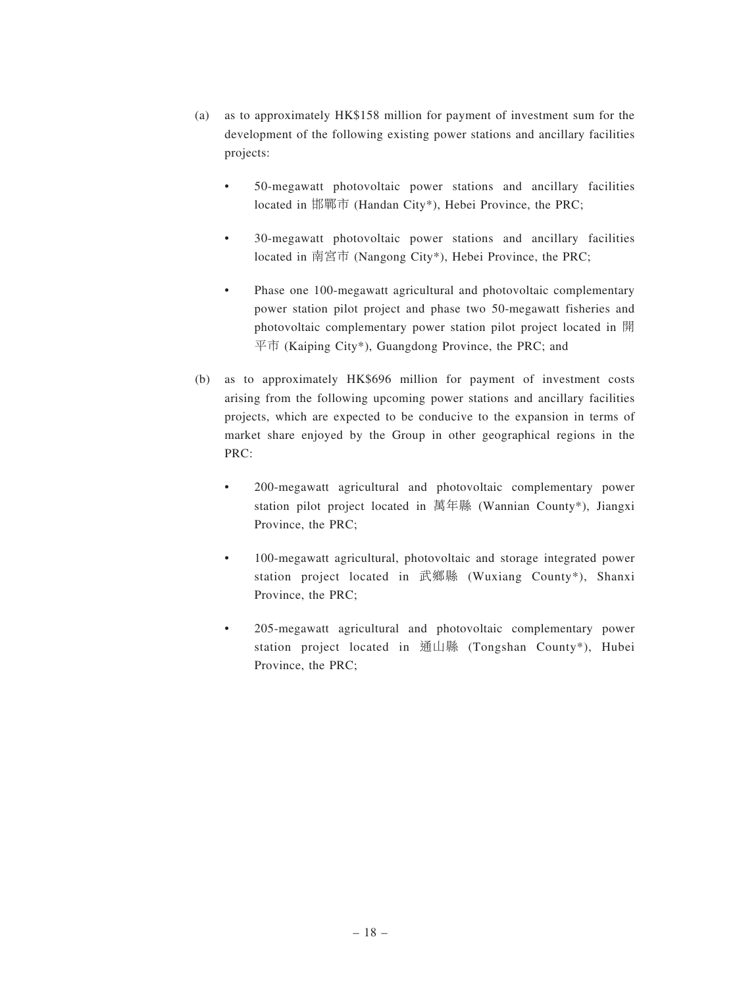- (a) as to approximately HK\$158 million for payment of investment sum for the development of the following existing power stations and ancillary facilities projects:
	- 50-megawatt photovoltaic power stations and ancillary facilities located in 邯鄲市 (Handan City\*), Hebei Province, the PRC;
	- 30-megawatt photovoltaic power stations and ancillary facilities located in 南宮市 (Nangong City\*), Hebei Province, the PRC;
	- Phase one 100-megawatt agricultural and photovoltaic complementary power station pilot project and phase two 50-megawatt fisheries and photovoltaic complementary power station pilot project located in 開  $\overline{\text{F}}$   $\overline{\text{m}}$  (Kaiping City\*), Guangdong Province, the PRC; and
- (b) as to approximately HK\$696 million for payment of investment costs arising from the following upcoming power stations and ancillary facilities projects, which are expected to be conducive to the expansion in terms of market share enjoyed by the Group in other geographical regions in the PRC:
	- 200-megawatt agricultural and photovoltaic complementary power station pilot project located in 萬年縣 (Wannian County\*), Jiangxi Province, the PRC;
	- 100-megawatt agricultural, photovoltaic and storage integrated power station project located in 武鄉縣 (Wuxiang County\*), Shanxi Province, the PRC;
	- 205-megawatt agricultural and photovoltaic complementary power station project located in 通山縣 (Tongshan County\*), Hubei Province, the PRC;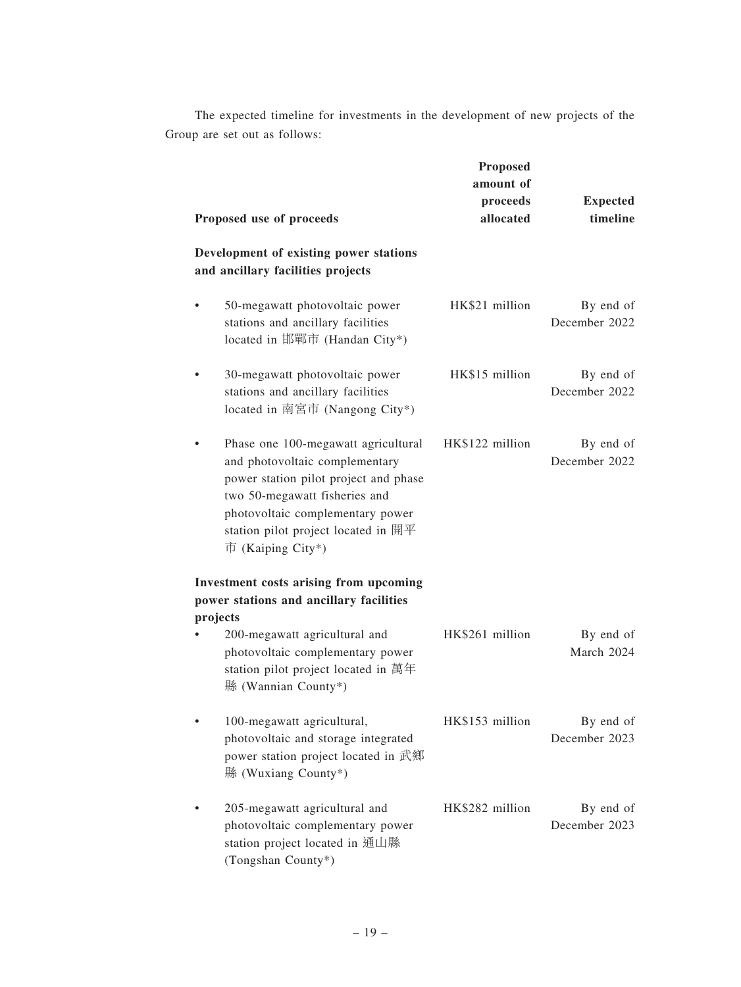The expected timeline for investments in the development of new projects of the Group are set out as follows:

| Proposed use of proceeds                                                                                                                                                                                                                        | <b>Proposed</b><br>amount of<br>proceeds<br>allocated | <b>Expected</b><br>timeline |
|-------------------------------------------------------------------------------------------------------------------------------------------------------------------------------------------------------------------------------------------------|-------------------------------------------------------|-----------------------------|
| Development of existing power stations<br>and ancillary facilities projects                                                                                                                                                                     |                                                       |                             |
| 50-megawatt photovoltaic power<br>stations and ancillary facilities<br>located in 邯鄲市 (Handan City*)                                                                                                                                            | HK\$21 million                                        | By end of<br>December 2022  |
| 30-megawatt photovoltaic power<br>stations and ancillary facilities<br>located in 南宮市 (Nangong City*)                                                                                                                                           | HK\$15 million                                        | By end of<br>December 2022  |
| Phase one 100-megawatt agricultural<br>and photovoltaic complementary<br>power station pilot project and phase<br>two 50-megawatt fisheries and<br>photovoltaic complementary power<br>station pilot project located in 開平<br>市 (Kaiping City*) | HK\$122 million                                       | By end of<br>December 2022  |
| Investment costs arising from upcoming<br>power stations and ancillary facilities                                                                                                                                                               |                                                       |                             |
| projects<br>200-megawatt agricultural and<br>photovoltaic complementary power<br>station pilot project located in 萬年<br>縣 (Wannian County*)                                                                                                     | HK\$261 million                                       | By end of<br>March 2024     |
| 100-megawatt agricultural,<br>photovoltaic and storage integrated<br>power station project located in 武鄉<br>縣 (Wuxiang County*)                                                                                                                 | HK\$153 million                                       | By end of<br>December 2023  |
| 205-megawatt agricultural and<br>photovoltaic complementary power<br>station project located in 通山縣<br>(Tongshan County*)                                                                                                                       | HK\$282 million                                       | By end of<br>December 2023  |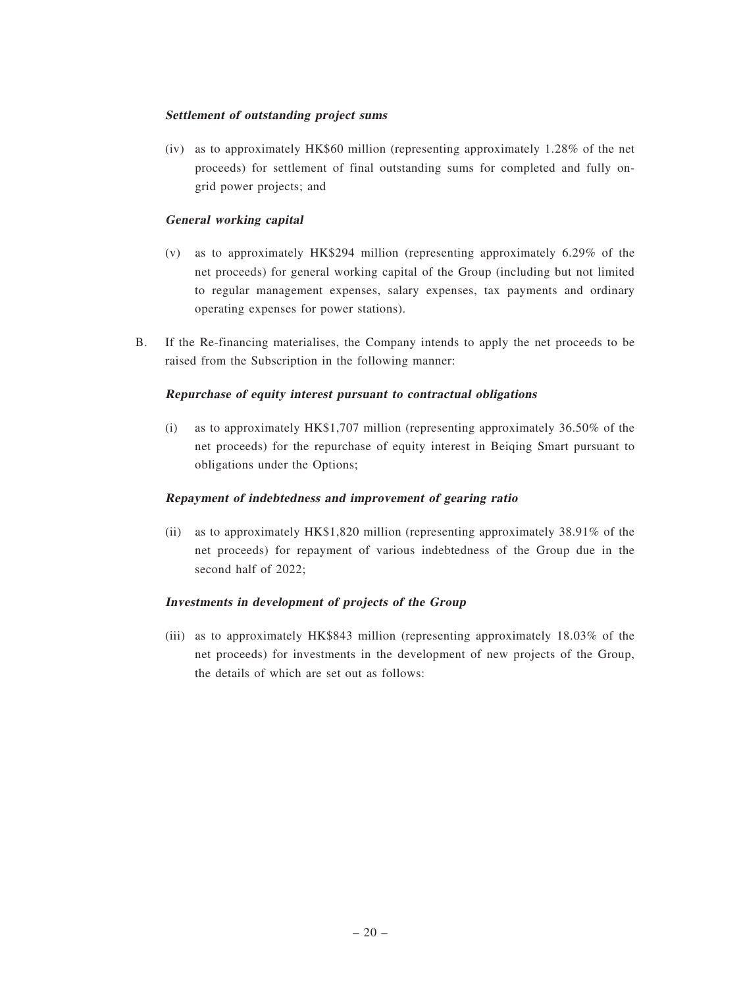### Settlement of outstanding project sums

(iv) as to approximately HK\$60 million (representing approximately 1.28% of the net proceeds) for settlement of final outstanding sums for completed and fully ongrid power projects; and

### General working capital

- (v) as to approximately HK\$294 million (representing approximately 6.29% of the net proceeds) for general working capital of the Group (including but not limited to regular management expenses, salary expenses, tax payments and ordinary operating expenses for power stations).
- B. If the Re-financing materialises, the Company intends to apply the net proceeds to be raised from the Subscription in the following manner:

### Repurchase of equity interest pursuant to contractual obligations

(i) as to approximately HK\$1,707 million (representing approximately 36.50% of the net proceeds) for the repurchase of equity interest in Beiqing Smart pursuant to obligations under the Options;

### Repayment of indebtedness and improvement of gearing ratio

(ii) as to approximately HK\$1,820 million (representing approximately 38.91% of the net proceeds) for repayment of various indebtedness of the Group due in the second half of 2022;

# Investments in development of projects of the Group

(iii) as to approximately HK\$843 million (representing approximately 18.03% of the net proceeds) for investments in the development of new projects of the Group, the details of which are set out as follows: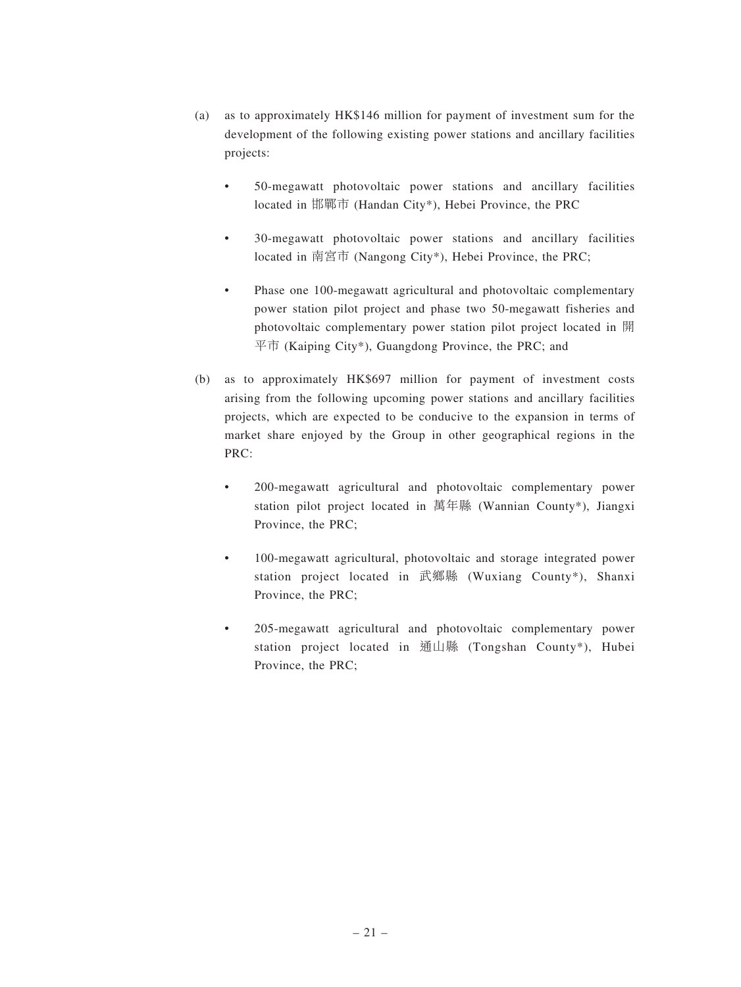- (a) as to approximately HK\$146 million for payment of investment sum for the development of the following existing power stations and ancillary facilities projects:
	- 50-megawatt photovoltaic power stations and ancillary facilities located in 邯鄲市 (Handan City\*), Hebei Province, the PRC
	- 30-megawatt photovoltaic power stations and ancillary facilities located in 南宮市 (Nangong City\*), Hebei Province, the PRC;
	- Phase one 100-megawatt agricultural and photovoltaic complementary power station pilot project and phase two 50-megawatt fisheries and photovoltaic complementary power station pilot project located in 開  $\overline{\text{F}}$   $\overline{\text{m}}$  (Kaiping City\*), Guangdong Province, the PRC; and
- (b) as to approximately HK\$697 million for payment of investment costs arising from the following upcoming power stations and ancillary facilities projects, which are expected to be conducive to the expansion in terms of market share enjoyed by the Group in other geographical regions in the PRC:
	- 200-megawatt agricultural and photovoltaic complementary power station pilot project located in 萬年縣 (Wannian County\*), Jiangxi Province, the PRC;
	- 100-megawatt agricultural, photovoltaic and storage integrated power station project located in 武鄉縣 (Wuxiang County\*), Shanxi Province, the PRC;
	- 205-megawatt agricultural and photovoltaic complementary power station project located in 通山縣 (Tongshan County\*), Hubei Province, the PRC;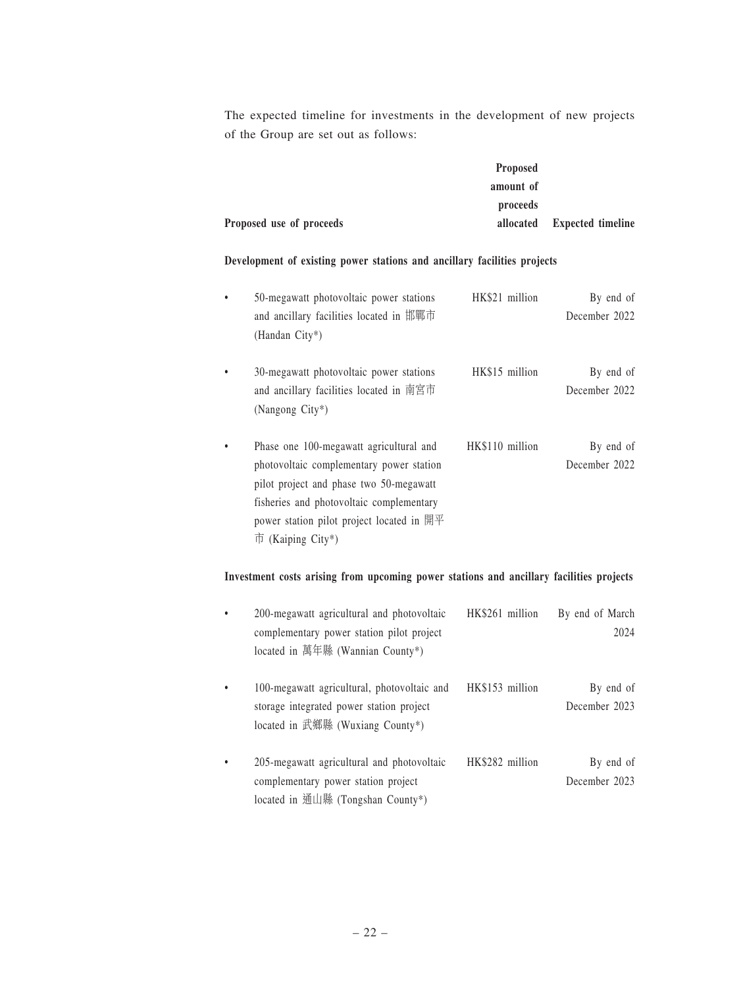The expected timeline for investments in the development of new projects of the Group are set out as follows:

|                          | <b>Proposed</b> |                             |
|--------------------------|-----------------|-----------------------------|
|                          | amount of       |                             |
|                          | proceeds        |                             |
| Proposed use of proceeds |                 | allocated Expected timeline |

### Development of existing power stations and ancillary facilities projects

| 50-megawatt photovoltaic power stations<br>and ancillary facilities located in 邯鄲市<br>(Handan City*)                                                                                                                                                                             | HK\$21 million  | By end of<br>December 2022 |
|----------------------------------------------------------------------------------------------------------------------------------------------------------------------------------------------------------------------------------------------------------------------------------|-----------------|----------------------------|
| 30-megawatt photovoltaic power stations<br>and ancillary facilities located in 南宮市<br>(Nangong City*)                                                                                                                                                                            | HK\$15 million  | By end of<br>December 2022 |
| Phase one 100-megawatt agricultural and<br>photovoltaic complementary power station<br>pilot project and phase two 50-megawatt<br>fisheries and photovoltaic complementary<br>power station pilot project located in $\mathbb{H} \mathbb{F}$<br>$\overline{\Pi}$ (Kaiping City*) | HK\$110 million | By end of<br>December 2022 |

# Investment costs arising from upcoming power stations and ancillary facilities projects

| $\bullet$ | 200-megawatt agricultural and photovoltaic<br>complementary power station pilot project<br>located in 萬年縣 (Wannian County*) | HK\$261 million | By end of March<br>2024    |
|-----------|-----------------------------------------------------------------------------------------------------------------------------|-----------------|----------------------------|
|           | 100-megawatt agricultural, photovoltaic and<br>storage integrated power station project<br>located in 武鄉縣 (Wuxiang County*) | HK\$153 million | By end of<br>December 2023 |
|           | 205-megawatt agricultural and photovoltaic<br>complementary power station project<br>located in 通山縣 (Tongshan County*)      | HK\$282 million | By end of<br>December 2023 |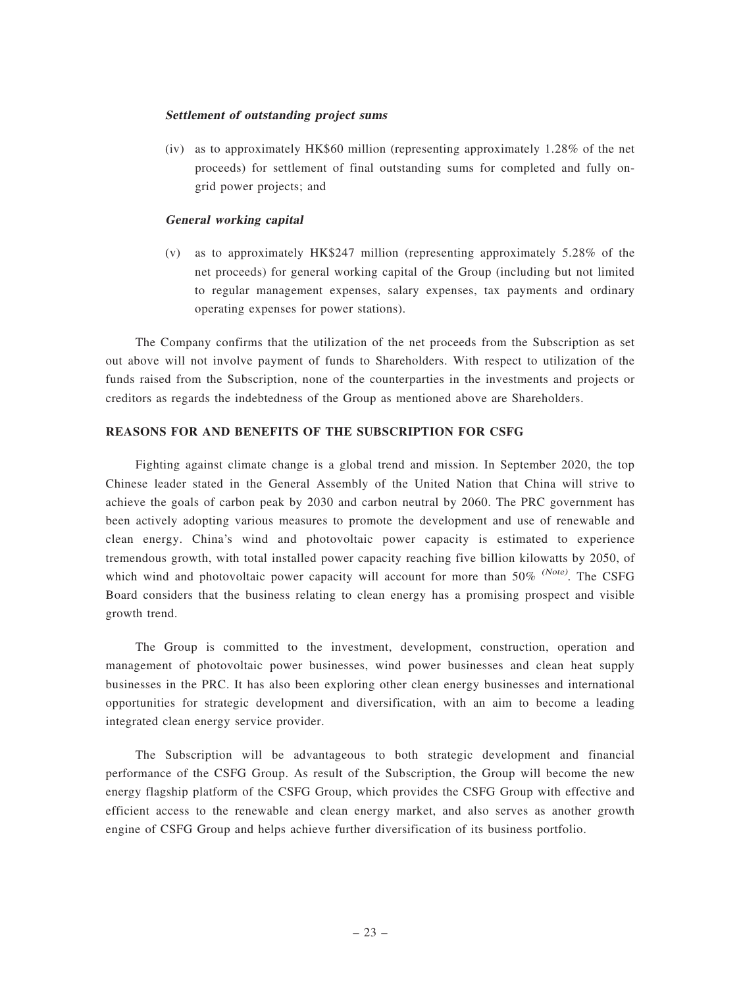### Settlement of outstanding project sums

(iv) as to approximately HK\$60 million (representing approximately 1.28% of the net proceeds) for settlement of final outstanding sums for completed and fully ongrid power projects; and

#### General working capital

(v) as to approximately HK\$247 million (representing approximately 5.28% of the net proceeds) for general working capital of the Group (including but not limited to regular management expenses, salary expenses, tax payments and ordinary operating expenses for power stations).

The Company confirms that the utilization of the net proceeds from the Subscription as set out above will not involve payment of funds to Shareholders. With respect to utilization of the funds raised from the Subscription, none of the counterparties in the investments and projects or creditors as regards the indebtedness of the Group as mentioned above are Shareholders.

### REASONS FOR AND BENEFITS OF THE SUBSCRIPTION FOR CSFG

Fighting against climate change is a global trend and mission. In September 2020, the top Chinese leader stated in the General Assembly of the United Nation that China will strive to achieve the goals of carbon peak by 2030 and carbon neutral by 2060. The PRC government has been actively adopting various measures to promote the development and use of renewable and clean energy. China's wind and photovoltaic power capacity is estimated to experience tremendous growth, with total installed power capacity reaching five billion kilowatts by 2050, of which wind and photovoltaic power capacity will account for more than  $50\%$  (Note). The CSFG Board considers that the business relating to clean energy has a promising prospect and visible growth trend.

The Group is committed to the investment, development, construction, operation and management of photovoltaic power businesses, wind power businesses and clean heat supply businesses in the PRC. It has also been exploring other clean energy businesses and international opportunities for strategic development and diversification, with an aim to become a leading integrated clean energy service provider.

The Subscription will be advantageous to both strategic development and financial performance of the CSFG Group. As result of the Subscription, the Group will become the new energy flagship platform of the CSFG Group, which provides the CSFG Group with effective and efficient access to the renewable and clean energy market, and also serves as another growth engine of CSFG Group and helps achieve further diversification of its business portfolio.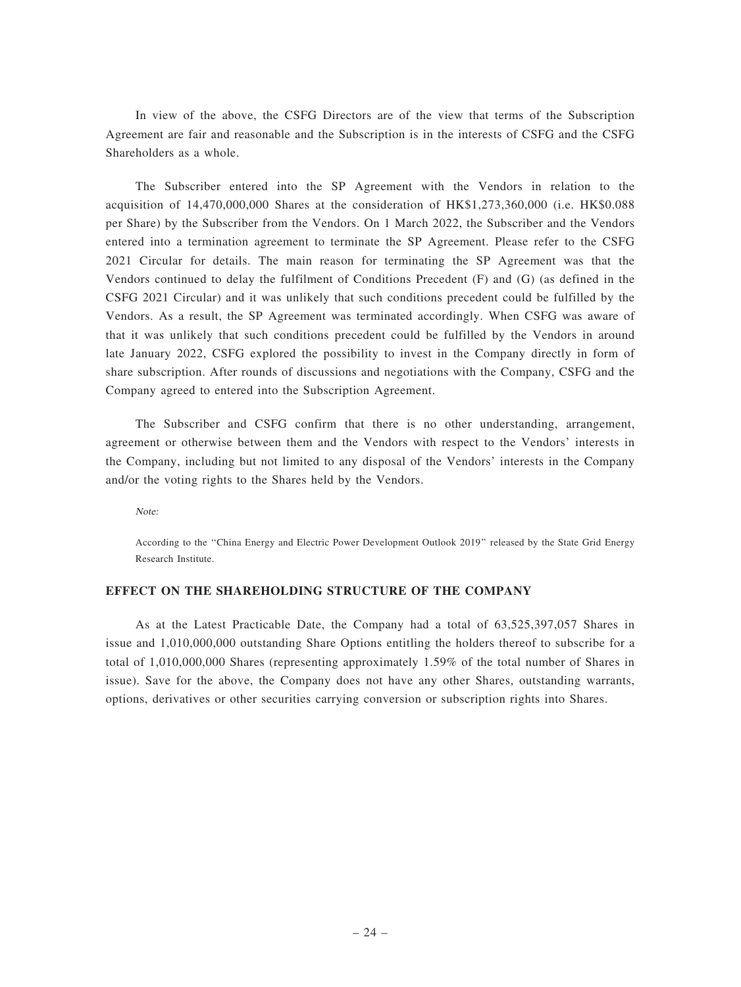In view of the above, the CSFG Directors are of the view that terms of the Subscription Agreement are fair and reasonable and the Subscription is in the interests of CSFG and the CSFG Shareholders as a whole.

The Subscriber entered into the SP Agreement with the Vendors in relation to the acquisition of 14,470,000,000 Shares at the consideration of HK\$1,273,360,000 (i.e. HK\$0.088 per Share) by the Subscriber from the Vendors. On 1 March 2022, the Subscriber and the Vendors entered into a termination agreement to terminate the SP Agreement. Please refer to the CSFG 2021 Circular for details. The main reason for terminating the SP Agreement was that the Vendors continued to delay the fulfilment of Conditions Precedent (F) and (G) (as defined in the CSFG 2021 Circular) and it was unlikely that such conditions precedent could be fulfilled by the Vendors. As a result, the SP Agreement was terminated accordingly. When CSFG was aware of that it was unlikely that such conditions precedent could be fulfilled by the Vendors in around late January 2022, CSFG explored the possibility to invest in the Company directly in form of share subscription. After rounds of discussions and negotiations with the Company, CSFG and the Company agreed to entered into the Subscription Agreement.

The Subscriber and CSFG confirm that there is no other understanding, arrangement, agreement or otherwise between them and the Vendors with respect to the Vendors' interests in the Company, including but not limited to any disposal of the Vendors' interests in the Company and/or the voting rights to the Shares held by the Vendors.

Note:

According to the ''China Energy and Electric Power Development Outlook 2019'' released by the State Grid Energy Research Institute.

### EFFECT ON THE SHAREHOLDING STRUCTURE OF THE COMPANY

As at the Latest Practicable Date, the Company had a total of 63,525,397,057 Shares in issue and 1,010,000,000 outstanding Share Options entitling the holders thereof to subscribe for a total of 1,010,000,000 Shares (representing approximately 1.59% of the total number of Shares in issue). Save for the above, the Company does not have any other Shares, outstanding warrants, options, derivatives or other securities carrying conversion or subscription rights into Shares.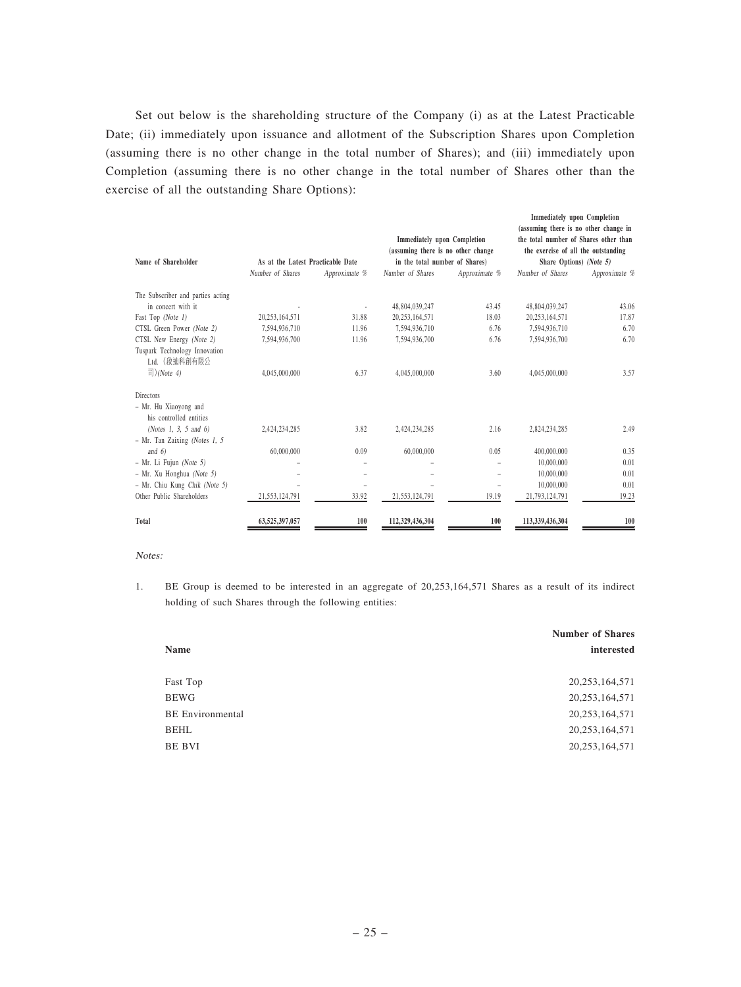Set out below is the shareholding structure of the Company (i) as at the Latest Practicable Date; (ii) immediately upon issuance and allotment of the Subscription Shares upon Completion (assuming there is no other change in the total number of Shares); and (iii) immediately upon Completion (assuming there is no other change in the total number of Shares other than the exercise of all the outstanding Share Options):

|                                                  |                                   |               |                                                                          |               | <b>Immediately</b> upon Completion<br>(assuming there is no other change in  |               |
|--------------------------------------------------|-----------------------------------|---------------|--------------------------------------------------------------------------|---------------|------------------------------------------------------------------------------|---------------|
|                                                  |                                   |               | <b>Immediately upon Completion</b><br>(assuming there is no other change |               | the total number of Shares other than<br>the exercise of all the outstanding |               |
| Name of Shareholder                              | As at the Latest Practicable Date |               | in the total number of Shares)                                           |               | Share Options) (Note 5)                                                      |               |
|                                                  | Number of Shares                  | Approximate % | Number of Shares                                                         | Approximate % | Number of Shares                                                             | Approximate % |
| The Subscriber and parties acting                |                                   |               |                                                                          |               |                                                                              |               |
| in concert with it                               |                                   |               | 48.804.039.247                                                           | 43.45         | 48.804.039.247                                                               | 43.06         |
| Fast Top (Note 1)                                | 20,253,164,571                    | 31.88         | 20.253.164.571                                                           | 18.03         | 20.253.164.571                                                               | 17.87         |
| CTSL Green Power (Note 2)                        | 7,594,936,710                     | 11.96         | 7.594.936.710                                                            | 6.76          | 7.594.936.710                                                                | 6.70          |
| CTSL New Energy (Note 2)                         | 7.594.936.700                     | 11.96         | 7.594.936.700                                                            | 6.76          | 7.594.936.700                                                                | 6.70          |
| Tuspark Technology Innovation<br>Ltd. (啟油科創有限公   |                                   |               |                                                                          |               |                                                                              |               |
| 司)(Note 4)                                       | 4,045,000,000                     | 6.37          | 4,045,000,000                                                            | 3.60          | 4,045,000,000                                                                | 3.57          |
| <b>Directors</b>                                 |                                   |               |                                                                          |               |                                                                              |               |
| - Mr. Hu Xiaoyong and<br>his controlled entities |                                   |               |                                                                          |               |                                                                              |               |
| (Notes 1, 3, 5 and 6)                            | 2,424,234,285                     | 3.82          | 2,424,234,285                                                            | 2.16          | 2,824,234,285                                                                | 2.49          |
| $-$ Mr. Tan Zaixing (Notes 1, 5                  |                                   |               |                                                                          |               |                                                                              |               |
| and $6$                                          | 60,000,000                        | 0.09          | 60,000,000                                                               | 0.05          | 400,000,000                                                                  | 0.35          |
| $- Mr. Li Fuiun (Note 5)$                        |                                   |               |                                                                          |               | 10,000,000                                                                   | 0.01          |
| - Mr. Xu Honghua (Note 5)                        |                                   |               |                                                                          |               | 10,000,000                                                                   | 0.01          |
| - Mr. Chiu Kung Chik (Note 5)                    |                                   |               |                                                                          |               | 10,000,000                                                                   | 0.01          |
| Other Public Shareholders                        | 21,553,124,791                    | 33.92         | 21.553.124.791                                                           | 19.19         | 21,793,124,791                                                               | 19.23         |
| Total                                            | 63,525,397,057                    | 100           | 112,329,436,304                                                          | 100           | 113,339,436,304                                                              | 100           |

#### Notes:

1. BE Group is deemed to be interested in an aggregate of 20,253,164,571 Shares as a result of its indirect holding of such Shares through the following entities:

|                         | <b>Number of Shares</b> |
|-------------------------|-------------------------|
| Name                    | interested              |
| Fast Top                | 20, 253, 164, 571       |
| <b>BEWG</b>             | 20, 253, 164, 571       |
| <b>BE</b> Environmental | 20, 253, 164, 571       |
| BEHL                    | 20, 253, 164, 571       |
| BE BVI                  | 20, 253, 164, 571       |
|                         |                         |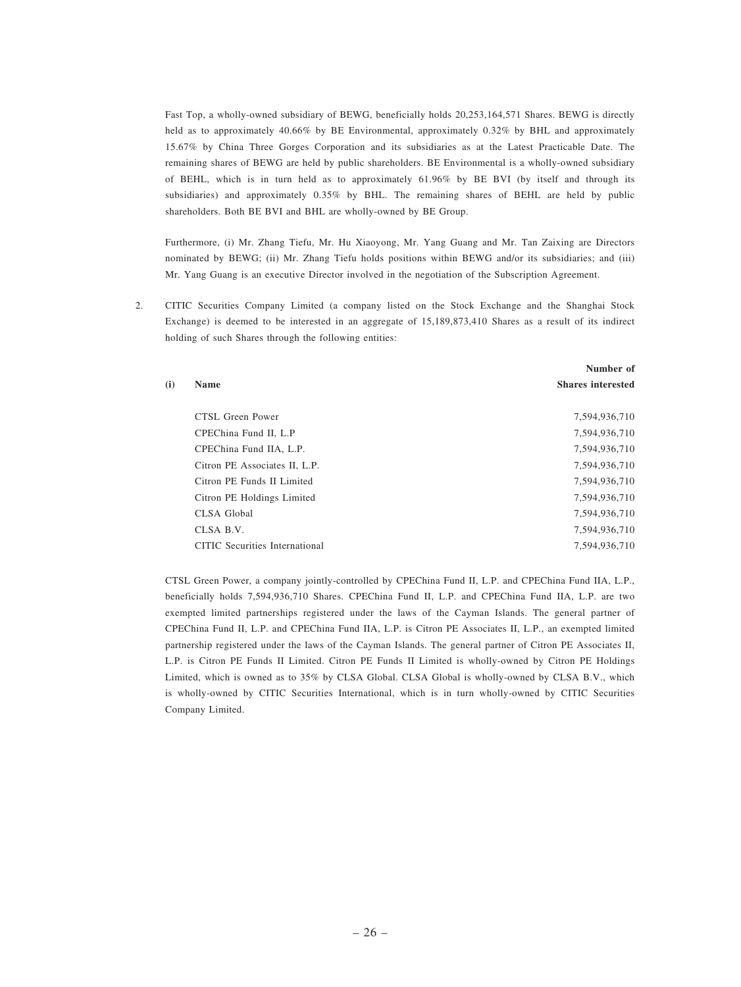Fast Top, a wholly-owned subsidiary of BEWG, beneficially holds 20,253,164,571 Shares. BEWG is directly held as to approximately 40.66% by BE Environmental, approximately 0.32% by BHL and approximately 15.67% by China Three Gorges Corporation and its subsidiaries as at the Latest Practicable Date. The remaining shares of BEWG are held by public shareholders. BE Environmental is a wholly-owned subsidiary of BEHL, which is in turn held as to approximately 61.96% by BE BVI (by itself and through its subsidiaries) and approximately 0.35% by BHL. The remaining shares of BEHL are held by public shareholders. Both BE BVI and BHL are wholly-owned by BE Group.

Furthermore, (i) Mr. Zhang Tiefu, Mr. Hu Xiaoyong, Mr. Yang Guang and Mr. Tan Zaixing are Directors nominated by BEWG; (ii) Mr. Zhang Tiefu holds positions within BEWG and/or its subsidiaries; and (iii) Mr. Yang Guang is an executive Director involved in the negotiation of the Subscription Agreement.

2. CITIC Securities Company Limited (a company listed on the Stock Exchange and the Shanghai Stock Exchange) is deemed to be interested in an aggregate of 15,189,873,410 Shares as a result of its indirect holding of such Shares through the following entities:

|     |                                | Number of                |
|-----|--------------------------------|--------------------------|
| (i) | <b>Name</b>                    | <b>Shares interested</b> |
|     | CTSL Green Power               | 7,594,936,710            |
|     | CPEChina Fund II. L.P          | 7,594,936,710            |
|     | CPEChina Fund IIA, L.P.        | 7,594,936,710            |
|     | Citron PE Associates II, L.P.  | 7,594,936,710            |
|     | Citron PE Funds II Limited     | 7,594,936,710            |
|     | Citron PE Holdings Limited     | 7,594,936,710            |
|     | CLSA Global                    | 7,594,936,710            |
|     | CLSA B.V.                      | 7,594,936,710            |
|     | CITIC Securities International | 7,594,936,710            |

CTSL Green Power, a company jointly-controlled by CPEChina Fund II, L.P. and CPEChina Fund IIA, L.P., beneficially holds 7,594,936,710 Shares. CPEChina Fund II, L.P. and CPEChina Fund IIA, L.P. are two exempted limited partnerships registered under the laws of the Cayman Islands. The general partner of CPEChina Fund II, L.P. and CPEChina Fund IIA, L.P. is Citron PE Associates II, L.P., an exempted limited partnership registered under the laws of the Cayman Islands. The general partner of Citron PE Associates II, L.P. is Citron PE Funds II Limited. Citron PE Funds II Limited is wholly-owned by Citron PE Holdings Limited, which is owned as to 35% by CLSA Global. CLSA Global is wholly-owned by CLSA B.V., which is wholly-owned by CITIC Securities International, which is in turn wholly-owned by CITIC Securities Company Limited.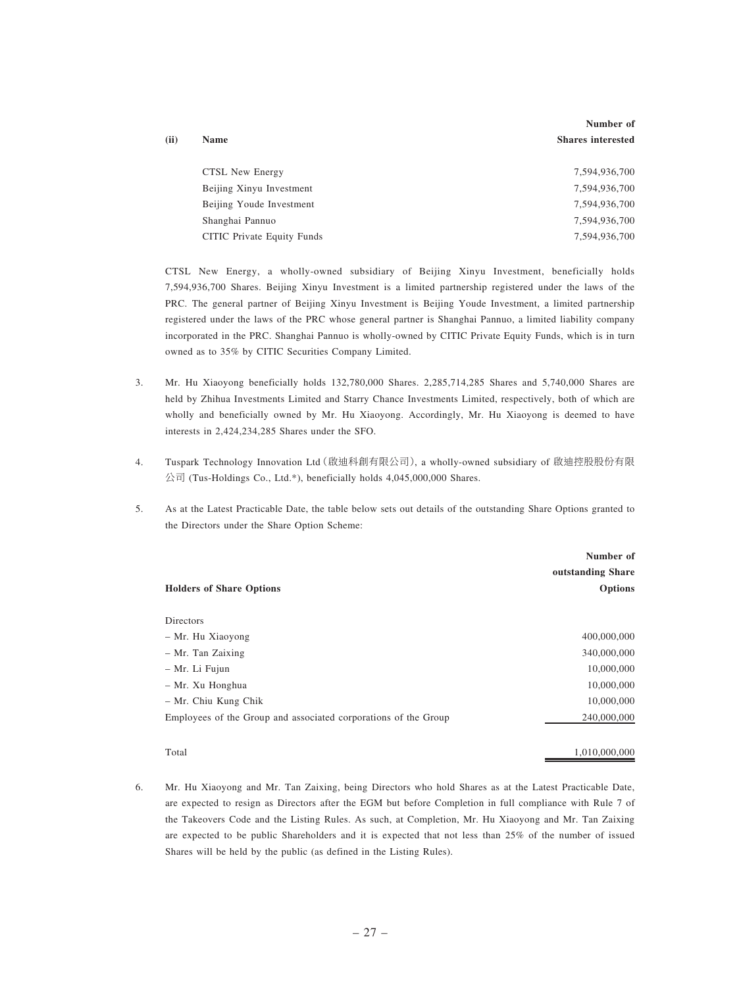|      |                            | Number of                |
|------|----------------------------|--------------------------|
| (ii) | <b>Name</b>                | <b>Shares interested</b> |
|      |                            |                          |
|      | CTSL New Energy            | 7,594,936,700            |
|      | Beijing Xinyu Investment   | 7,594,936,700            |
|      | Beijing Youde Investment   | 7,594,936,700            |
|      | Shanghai Pannuo            | 7,594,936,700            |
|      | CITIC Private Equity Funds | 7,594,936,700            |

CTSL New Energy, a wholly-owned subsidiary of Beijing Xinyu Investment, beneficially holds 7,594,936,700 Shares. Beijing Xinyu Investment is a limited partnership registered under the laws of the PRC. The general partner of Beijing Xinyu Investment is Beijing Youde Investment, a limited partnership registered under the laws of the PRC whose general partner is Shanghai Pannuo, a limited liability company incorporated in the PRC. Shanghai Pannuo is wholly-owned by CITIC Private Equity Funds, which is in turn owned as to 35% by CITIC Securities Company Limited.

- 3. Mr. Hu Xiaoyong beneficially holds 132,780,000 Shares. 2,285,714,285 Shares and 5,740,000 Shares are held by Zhihua Investments Limited and Starry Chance Investments Limited, respectively, both of which are wholly and beneficially owned by Mr. Hu Xiaoyong. Accordingly, Mr. Hu Xiaoyong is deemed to have interests in 2,424,234,285 Shares under the SFO.
- 4. Tuspark Technology Innovation Ltd(啟迪科創有限公司), a wholly-owned subsidiary of 啟迪控股股份有限 公司 (Tus-Holdings Co., Ltd.\*), beneficially holds 4,045,000,000 Shares.
- 5. As at the Latest Practicable Date, the table below sets out details of the outstanding Share Options granted to the Directors under the Share Option Scheme:

|                                                                 | Number of         |
|-----------------------------------------------------------------|-------------------|
|                                                                 | outstanding Share |
| <b>Holders of Share Options</b>                                 | <b>Options</b>    |
|                                                                 |                   |
| <b>Directors</b>                                                |                   |
| - Mr. Hu Xiaoyong                                               | 400,000,000       |
| - Mr. Tan Zaixing                                               | 340,000,000       |
| – Mr. Li Fujun                                                  | 10,000,000        |
| - Mr. Xu Honghua                                                | 10,000,000        |
| - Mr. Chiu Kung Chik                                            | 10,000,000        |
| Employees of the Group and associated corporations of the Group | 240,000,000       |
|                                                                 |                   |

Total 1,010,000,000

6. Mr. Hu Xiaoyong and Mr. Tan Zaixing, being Directors who hold Shares as at the Latest Practicable Date, are expected to resign as Directors after the EGM but before Completion in full compliance with Rule 7 of the Takeovers Code and the Listing Rules. As such, at Completion, Mr. Hu Xiaoyong and Mr. Tan Zaixing are expected to be public Shareholders and it is expected that not less than 25% of the number of issued Shares will be held by the public (as defined in the Listing Rules).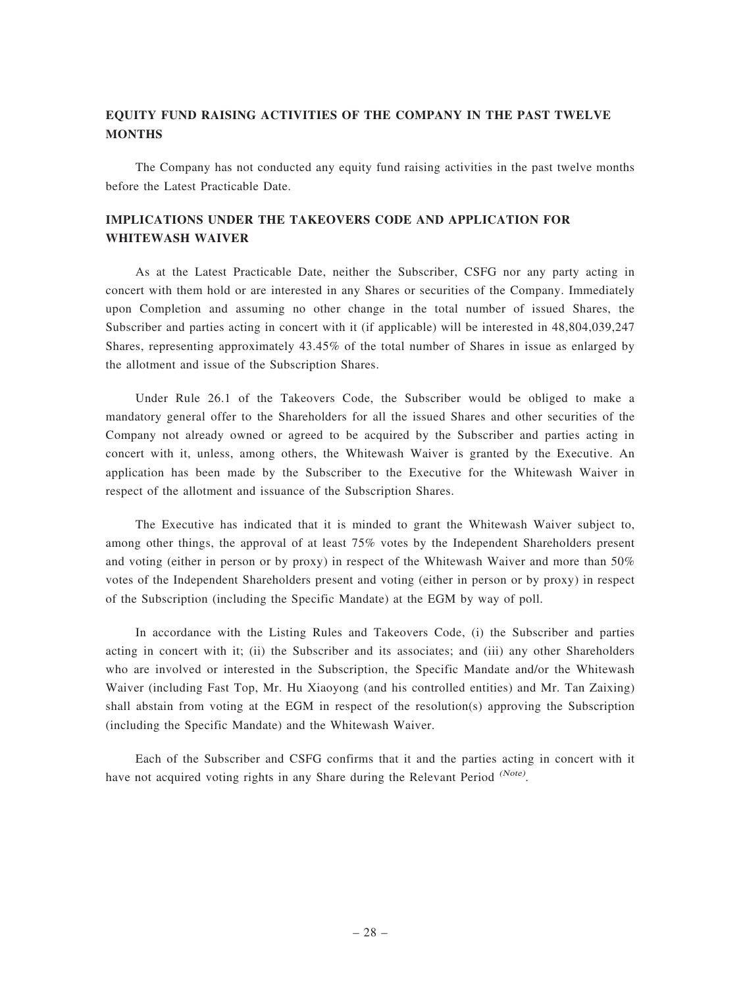# EQUITY FUND RAISING ACTIVITIES OF THE COMPANY IN THE PAST TWELVE **MONTHS**

The Company has not conducted any equity fund raising activities in the past twelve months before the Latest Practicable Date.

# IMPLICATIONS UNDER THE TAKEOVERS CODE AND APPLICATION FOR WHITEWASH WAIVER

As at the Latest Practicable Date, neither the Subscriber, CSFG nor any party acting in concert with them hold or are interested in any Shares or securities of the Company. Immediately upon Completion and assuming no other change in the total number of issued Shares, the Subscriber and parties acting in concert with it (if applicable) will be interested in 48,804,039,247 Shares, representing approximately 43.45% of the total number of Shares in issue as enlarged by the allotment and issue of the Subscription Shares.

Under Rule 26.1 of the Takeovers Code, the Subscriber would be obliged to make a mandatory general offer to the Shareholders for all the issued Shares and other securities of the Company not already owned or agreed to be acquired by the Subscriber and parties acting in concert with it, unless, among others, the Whitewash Waiver is granted by the Executive. An application has been made by the Subscriber to the Executive for the Whitewash Waiver in respect of the allotment and issuance of the Subscription Shares.

The Executive has indicated that it is minded to grant the Whitewash Waiver subject to, among other things, the approval of at least 75% votes by the Independent Shareholders present and voting (either in person or by proxy) in respect of the Whitewash Waiver and more than 50% votes of the Independent Shareholders present and voting (either in person or by proxy) in respect of the Subscription (including the Specific Mandate) at the EGM by way of poll.

In accordance with the Listing Rules and Takeovers Code, (i) the Subscriber and parties acting in concert with it; (ii) the Subscriber and its associates; and (iii) any other Shareholders who are involved or interested in the Subscription, the Specific Mandate and/or the Whitewash Waiver (including Fast Top, Mr. Hu Xiaoyong (and his controlled entities) and Mr. Tan Zaixing) shall abstain from voting at the EGM in respect of the resolution(s) approving the Subscription (including the Specific Mandate) and the Whitewash Waiver.

Each of the Subscriber and CSFG confirms that it and the parties acting in concert with it have not acquired voting rights in any Share during the Relevant Period <sup>(Note)</sup>.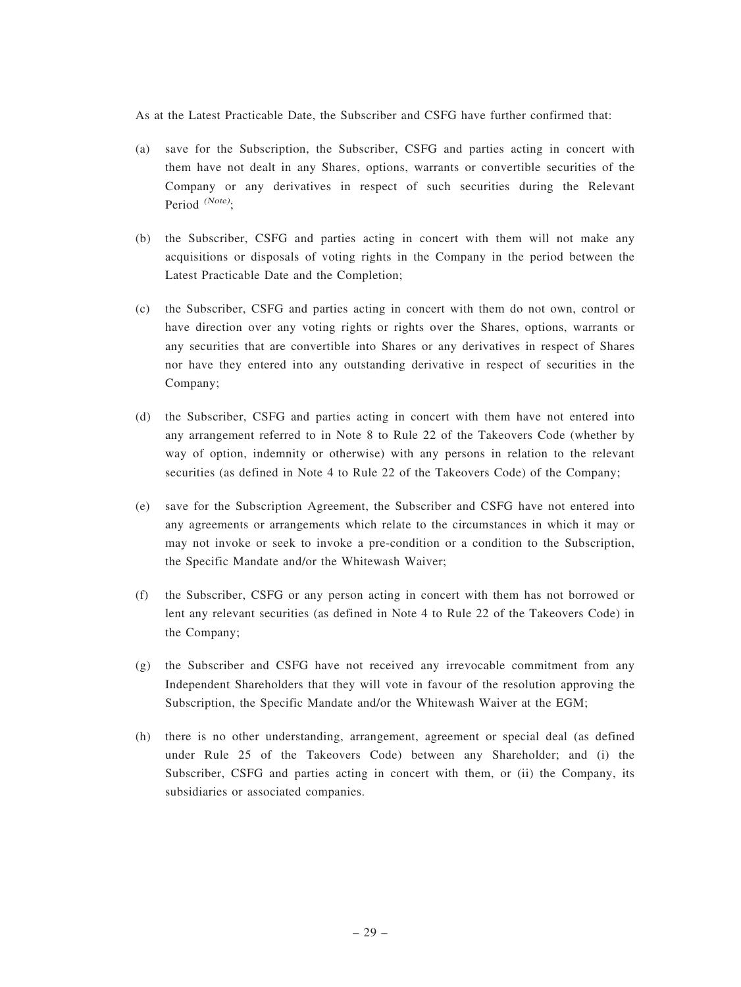As at the Latest Practicable Date, the Subscriber and CSFG have further confirmed that:

- (a) save for the Subscription, the Subscriber, CSFG and parties acting in concert with them have not dealt in any Shares, options, warrants or convertible securities of the Company or any derivatives in respect of such securities during the Relevant Period  $^{(Note)}$ :
- (b) the Subscriber, CSFG and parties acting in concert with them will not make any acquisitions or disposals of voting rights in the Company in the period between the Latest Practicable Date and the Completion;
- (c) the Subscriber, CSFG and parties acting in concert with them do not own, control or have direction over any voting rights or rights over the Shares, options, warrants or any securities that are convertible into Shares or any derivatives in respect of Shares nor have they entered into any outstanding derivative in respect of securities in the Company;
- (d) the Subscriber, CSFG and parties acting in concert with them have not entered into any arrangement referred to in Note 8 to Rule 22 of the Takeovers Code (whether by way of option, indemnity or otherwise) with any persons in relation to the relevant securities (as defined in Note 4 to Rule 22 of the Takeovers Code) of the Company;
- (e) save for the Subscription Agreement, the Subscriber and CSFG have not entered into any agreements or arrangements which relate to the circumstances in which it may or may not invoke or seek to invoke a pre-condition or a condition to the Subscription, the Specific Mandate and/or the Whitewash Waiver;
- (f) the Subscriber, CSFG or any person acting in concert with them has not borrowed or lent any relevant securities (as defined in Note 4 to Rule 22 of the Takeovers Code) in the Company;
- (g) the Subscriber and CSFG have not received any irrevocable commitment from any Independent Shareholders that they will vote in favour of the resolution approving the Subscription, the Specific Mandate and/or the Whitewash Waiver at the EGM;
- (h) there is no other understanding, arrangement, agreement or special deal (as defined under Rule 25 of the Takeovers Code) between any Shareholder; and (i) the Subscriber, CSFG and parties acting in concert with them, or (ii) the Company, its subsidiaries or associated companies.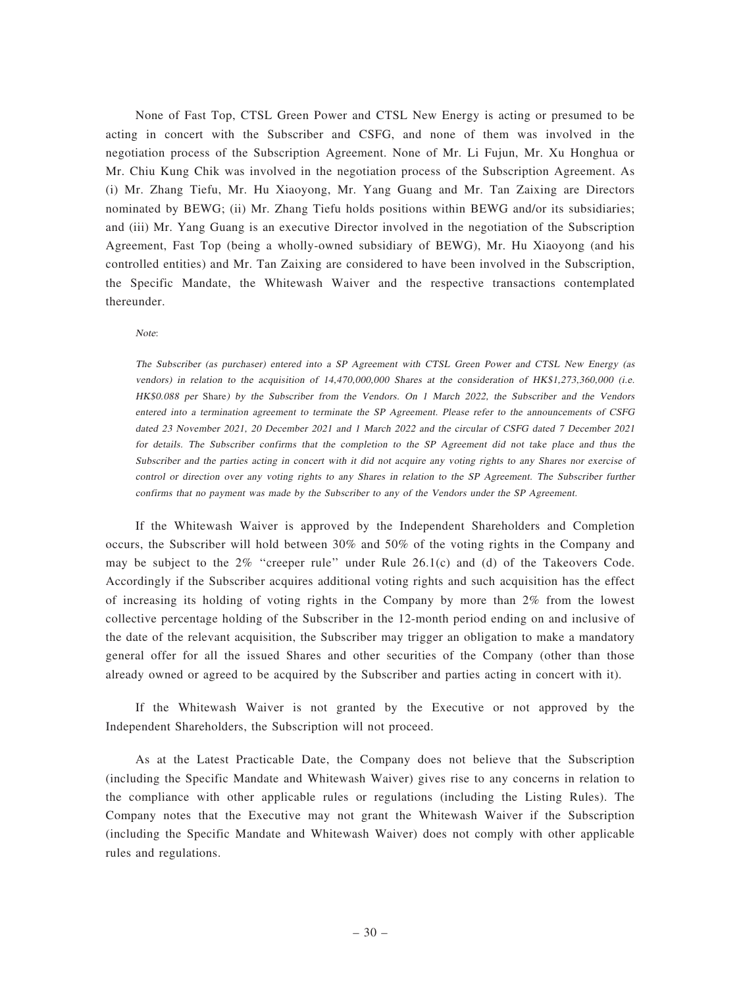None of Fast Top, CTSL Green Power and CTSL New Energy is acting or presumed to be acting in concert with the Subscriber and CSFG, and none of them was involved in the negotiation process of the Subscription Agreement. None of Mr. Li Fujun, Mr. Xu Honghua or Mr. Chiu Kung Chik was involved in the negotiation process of the Subscription Agreement. As (i) Mr. Zhang Tiefu, Mr. Hu Xiaoyong, Mr. Yang Guang and Mr. Tan Zaixing are Directors nominated by BEWG; (ii) Mr. Zhang Tiefu holds positions within BEWG and/or its subsidiaries; and (iii) Mr. Yang Guang is an executive Director involved in the negotiation of the Subscription Agreement, Fast Top (being a wholly-owned subsidiary of BEWG), Mr. Hu Xiaoyong (and his controlled entities) and Mr. Tan Zaixing are considered to have been involved in the Subscription, the Specific Mandate, the Whitewash Waiver and the respective transactions contemplated thereunder.

Note:

The Subscriber (as purchaser) entered into <sup>a</sup> SP Agreement with CTSL Green Power and CTSL New Energy (as vendors) in relation to the acquisition of 14,470,000,000 Shares at the consideration of HK\$1,273,360,000 (i.e. HK\$0.088 per Share) by the Subscriber from the Vendors. On <sup>1</sup> March 2022, the Subscriber and the Vendors entered into <sup>a</sup> termination agreement to terminate the SP Agreement. Please refer to the announcements of CSFG dated 23 November 2021, 20 December 2021 and 1 March 2022 and the circular of CSFG dated 7 December 2021 for details. The Subscriber confirms that the completion to the SP Agreement did not take place and thus the Subscriber and the parties acting in concert with it did not acquire any voting rights to any Shares nor exercise of control or direction over any voting rights to any Shares in relation to the SP Agreement. The Subscriber further confirms that no payment was made by the Subscriber to any of the Vendors under the SP Agreement.

If the Whitewash Waiver is approved by the Independent Shareholders and Completion occurs, the Subscriber will hold between 30% and 50% of the voting rights in the Company and may be subject to the  $2\%$  "creeper rule" under Rule 26.1(c) and (d) of the Takeovers Code. Accordingly if the Subscriber acquires additional voting rights and such acquisition has the effect of increasing its holding of voting rights in the Company by more than 2% from the lowest collective percentage holding of the Subscriber in the 12-month period ending on and inclusive of the date of the relevant acquisition, the Subscriber may trigger an obligation to make a mandatory general offer for all the issued Shares and other securities of the Company (other than those already owned or agreed to be acquired by the Subscriber and parties acting in concert with it).

If the Whitewash Waiver is not granted by the Executive or not approved by the Independent Shareholders, the Subscription will not proceed.

As at the Latest Practicable Date, the Company does not believe that the Subscription (including the Specific Mandate and Whitewash Waiver) gives rise to any concerns in relation to the compliance with other applicable rules or regulations (including the Listing Rules). The Company notes that the Executive may not grant the Whitewash Waiver if the Subscription (including the Specific Mandate and Whitewash Waiver) does not comply with other applicable rules and regulations.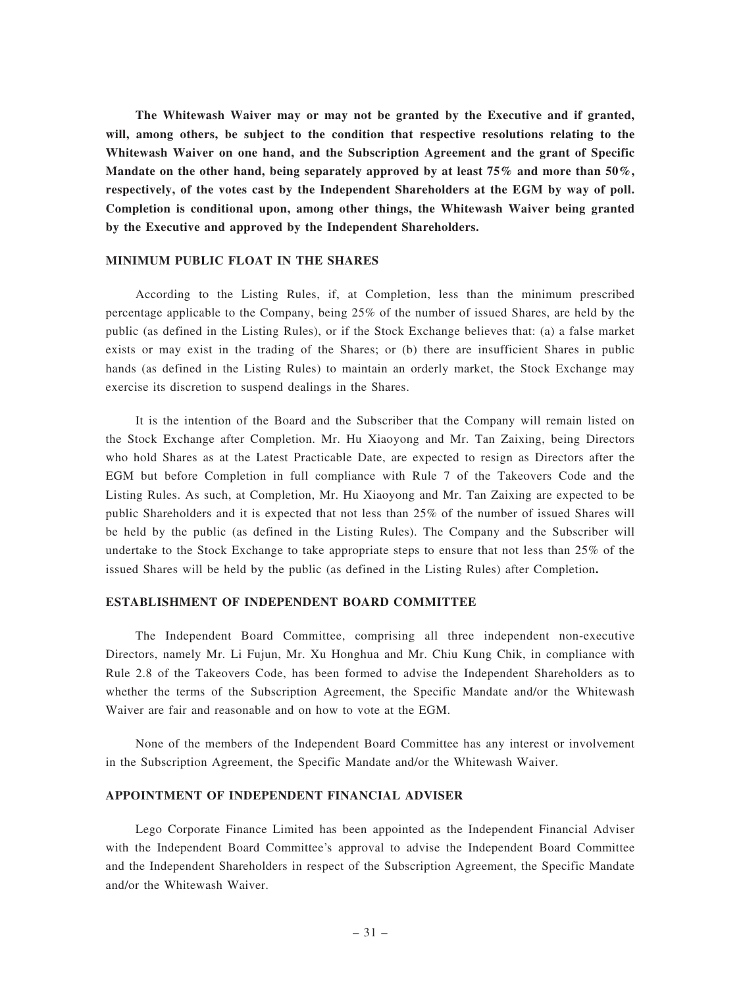The Whitewash Waiver may or may not be granted by the Executive and if granted, will, among others, be subject to the condition that respective resolutions relating to the Whitewash Waiver on one hand, and the Subscription Agreement and the grant of Specific Mandate on the other hand, being separately approved by at least 75% and more than 50%. respectively, of the votes cast by the Independent Shareholders at the EGM by way of poll. Completion is conditional upon, among other things, the Whitewash Waiver being granted by the Executive and approved by the Independent Shareholders.

### MINIMUM PUBLIC FLOAT IN THE SHARES

According to the Listing Rules, if, at Completion, less than the minimum prescribed percentage applicable to the Company, being 25% of the number of issued Shares, are held by the public (as defined in the Listing Rules), or if the Stock Exchange believes that: (a) a false market exists or may exist in the trading of the Shares; or (b) there are insufficient Shares in public hands (as defined in the Listing Rules) to maintain an orderly market, the Stock Exchange may exercise its discretion to suspend dealings in the Shares.

It is the intention of the Board and the Subscriber that the Company will remain listed on the Stock Exchange after Completion. Mr. Hu Xiaoyong and Mr. Tan Zaixing, being Directors who hold Shares as at the Latest Practicable Date, are expected to resign as Directors after the EGM but before Completion in full compliance with Rule 7 of the Takeovers Code and the Listing Rules. As such, at Completion, Mr. Hu Xiaoyong and Mr. Tan Zaixing are expected to be public Shareholders and it is expected that not less than 25% of the number of issued Shares will be held by the public (as defined in the Listing Rules). The Company and the Subscriber will undertake to the Stock Exchange to take appropriate steps to ensure that not less than 25% of the issued Shares will be held by the public (as defined in the Listing Rules) after Completion.

### ESTABLISHMENT OF INDEPENDENT BOARD COMMITTEE

The Independent Board Committee, comprising all three independent non-executive Directors, namely Mr. Li Fujun, Mr. Xu Honghua and Mr. Chiu Kung Chik, in compliance with Rule 2.8 of the Takeovers Code, has been formed to advise the Independent Shareholders as to whether the terms of the Subscription Agreement, the Specific Mandate and/or the Whitewash Waiver are fair and reasonable and on how to vote at the EGM.

None of the members of the Independent Board Committee has any interest or involvement in the Subscription Agreement, the Specific Mandate and/or the Whitewash Waiver.

### APPOINTMENT OF INDEPENDENT FINANCIAL ADVISER

Lego Corporate Finance Limited has been appointed as the Independent Financial Adviser with the Independent Board Committee's approval to advise the Independent Board Committee and the Independent Shareholders in respect of the Subscription Agreement, the Specific Mandate and/or the Whitewash Waiver.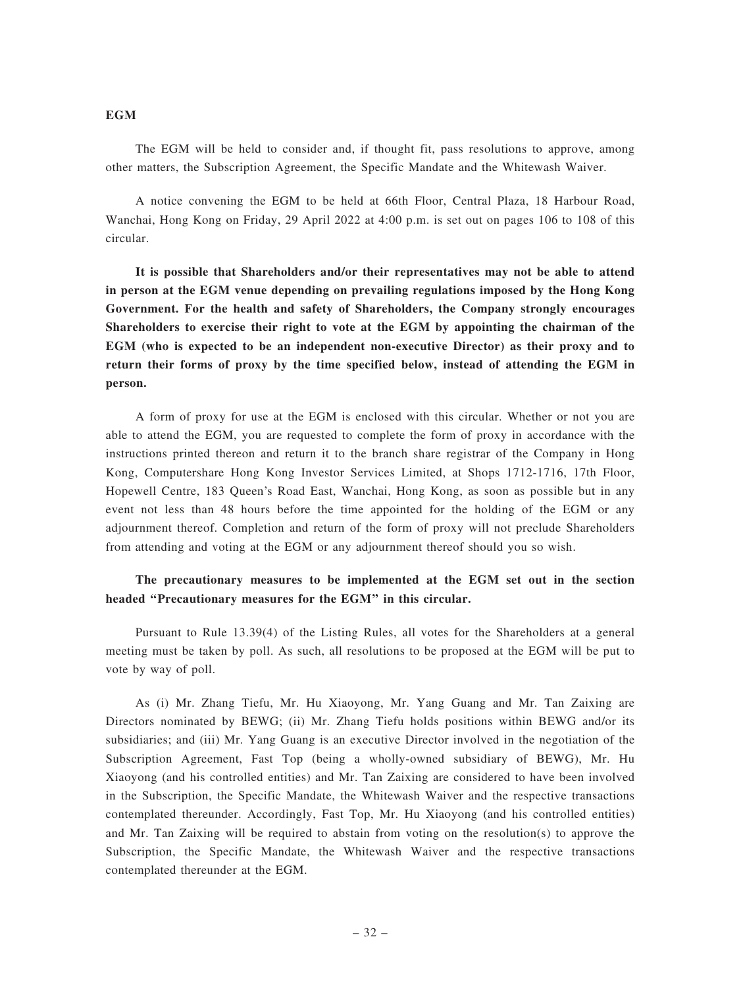#### **EGM**

The EGM will be held to consider and, if thought fit, pass resolutions to approve, among other matters, the Subscription Agreement, the Specific Mandate and the Whitewash Waiver.

A notice convening the EGM to be held at 66th Floor, Central Plaza, 18 Harbour Road, Wanchai, Hong Kong on Friday, 29 April 2022 at 4:00 p.m. is set out on pages 106 to 108 of this circular.

It is possible that Shareholders and/or their representatives may not be able to attend in person at the EGM venue depending on prevailing regulations imposed by the Hong Kong Government. For the health and safety of Shareholders, the Company strongly encourages Shareholders to exercise their right to vote at the EGM by appointing the chairman of the EGM (who is expected to be an independent non-executive Director) as their proxy and to return their forms of proxy by the time specified below, instead of attending the EGM in person.

A form of proxy for use at the EGM is enclosed with this circular. Whether or not you are able to attend the EGM, you are requested to complete the form of proxy in accordance with the instructions printed thereon and return it to the branch share registrar of the Company in Hong Kong, Computershare Hong Kong Investor Services Limited, at Shops 1712-1716, 17th Floor, Hopewell Centre, 183 Queen's Road East, Wanchai, Hong Kong, as soon as possible but in any event not less than 48 hours before the time appointed for the holding of the EGM or any adjournment thereof. Completion and return of the form of proxy will not preclude Shareholders from attending and voting at the EGM or any adjournment thereof should you so wish.

# The precautionary measures to be implemented at the EGM set out in the section headed ''Precautionary measures for the EGM'' in this circular.

Pursuant to Rule 13.39(4) of the Listing Rules, all votes for the Shareholders at a general meeting must be taken by poll. As such, all resolutions to be proposed at the EGM will be put to vote by way of poll.

As (i) Mr. Zhang Tiefu, Mr. Hu Xiaoyong, Mr. Yang Guang and Mr. Tan Zaixing are Directors nominated by BEWG; (ii) Mr. Zhang Tiefu holds positions within BEWG and/or its subsidiaries; and (iii) Mr. Yang Guang is an executive Director involved in the negotiation of the Subscription Agreement, Fast Top (being a wholly-owned subsidiary of BEWG), Mr. Hu Xiaoyong (and his controlled entities) and Mr. Tan Zaixing are considered to have been involved in the Subscription, the Specific Mandate, the Whitewash Waiver and the respective transactions contemplated thereunder. Accordingly, Fast Top, Mr. Hu Xiaoyong (and his controlled entities) and Mr. Tan Zaixing will be required to abstain from voting on the resolution(s) to approve the Subscription, the Specific Mandate, the Whitewash Waiver and the respective transactions contemplated thereunder at the EGM.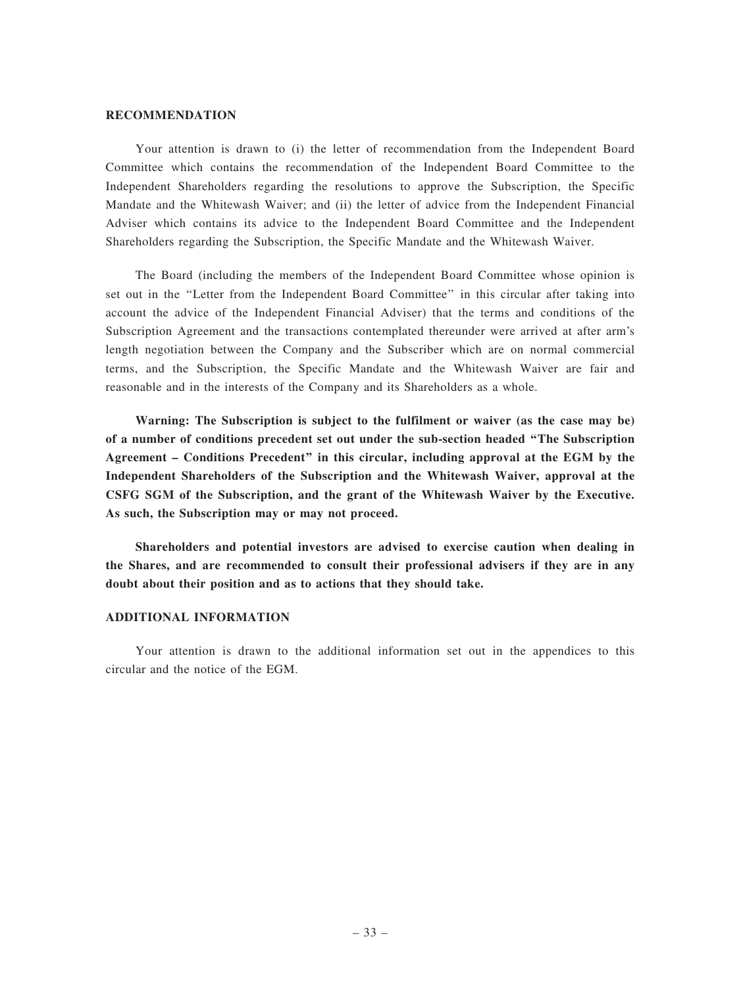### RECOMMENDATION

Your attention is drawn to (i) the letter of recommendation from the Independent Board Committee which contains the recommendation of the Independent Board Committee to the Independent Shareholders regarding the resolutions to approve the Subscription, the Specific Mandate and the Whitewash Waiver; and (ii) the letter of advice from the Independent Financial Adviser which contains its advice to the Independent Board Committee and the Independent Shareholders regarding the Subscription, the Specific Mandate and the Whitewash Waiver.

The Board (including the members of the Independent Board Committee whose opinion is set out in the ''Letter from the Independent Board Committee'' in this circular after taking into account the advice of the Independent Financial Adviser) that the terms and conditions of the Subscription Agreement and the transactions contemplated thereunder were arrived at after arm's length negotiation between the Company and the Subscriber which are on normal commercial terms, and the Subscription, the Specific Mandate and the Whitewash Waiver are fair and reasonable and in the interests of the Company and its Shareholders as a whole.

Warning: The Subscription is subject to the fulfilment or waiver (as the case may be) of a number of conditions precedent set out under the sub-section headed ''The Subscription Agreement – Conditions Precedent'' in this circular, including approval at the EGM by the Independent Shareholders of the Subscription and the Whitewash Waiver, approval at the CSFG SGM of the Subscription, and the grant of the Whitewash Waiver by the Executive. As such, the Subscription may or may not proceed.

Shareholders and potential investors are advised to exercise caution when dealing in the Shares, and are recommended to consult their professional advisers if they are in any doubt about their position and as to actions that they should take.

### ADDITIONAL INFORMATION

Your attention is drawn to the additional information set out in the appendices to this circular and the notice of the EGM.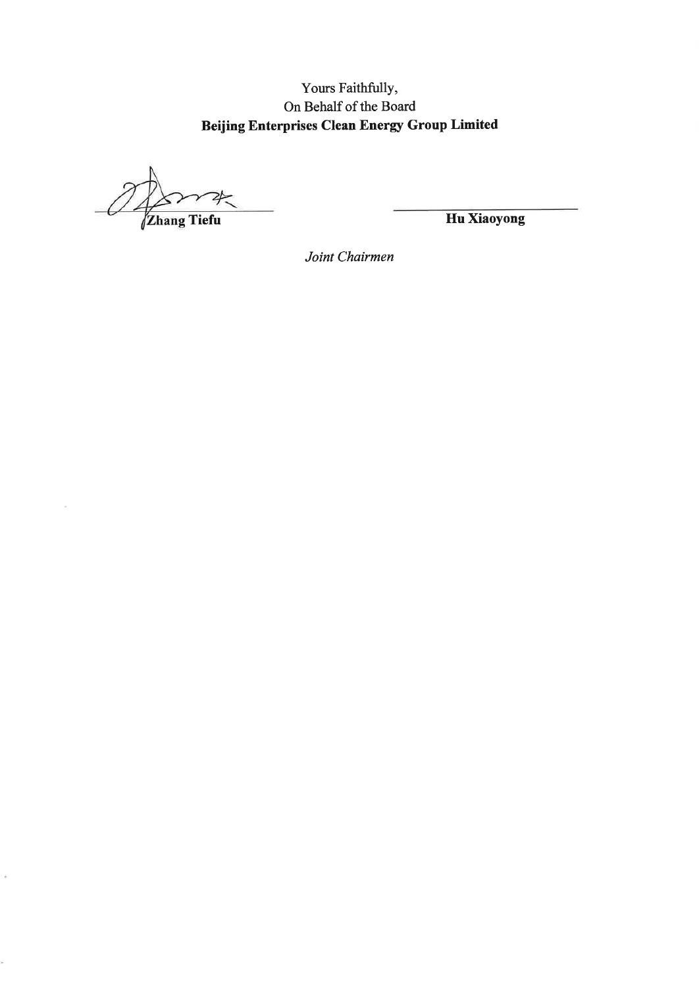Yours Faithfully, On Behalf of the Board **Beijing Enterprises Clean Energy Group Limited** 

**Zhang Tiefu** 

 $\bar{\epsilon}$ 

Hu Xiaoyong

Joint Chairmen